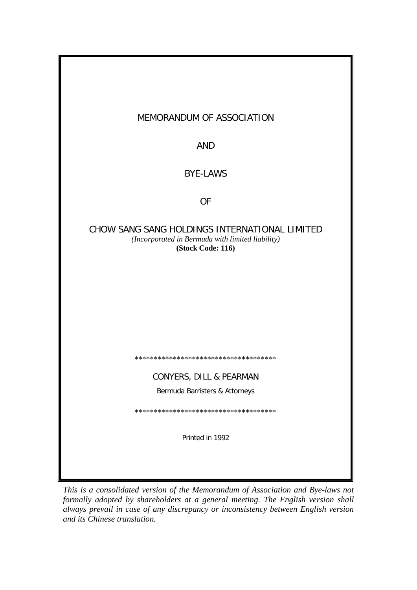| MEMORANDUM OF ASSOCIATION                                                                                              |  |  |  |  |
|------------------------------------------------------------------------------------------------------------------------|--|--|--|--|
| <b>AND</b>                                                                                                             |  |  |  |  |
| <b>BYE-LAWS</b>                                                                                                        |  |  |  |  |
| <b>OF</b>                                                                                                              |  |  |  |  |
| CHOW SANG SANG HOLDINGS INTERNATIONAL LIMITED<br>(Incorporated in Bermuda with limited liability)<br>(Stock Code: 116) |  |  |  |  |
|                                                                                                                        |  |  |  |  |
|                                                                                                                        |  |  |  |  |
|                                                                                                                        |  |  |  |  |
| **************************************                                                                                 |  |  |  |  |
| CONYERS, DILL & PEARMAN                                                                                                |  |  |  |  |
| Bermuda Barristers & Attorneys                                                                                         |  |  |  |  |
| **************************************                                                                                 |  |  |  |  |
| Printed in 1992                                                                                                        |  |  |  |  |
|                                                                                                                        |  |  |  |  |

*This is a consolidated version of the Memorandum of Association and Bye-laws not formally adopted by shareholders at a general meeting. The English version shall always prevail in case of any discrepancy or inconsistency between English version and its Chinese translation.*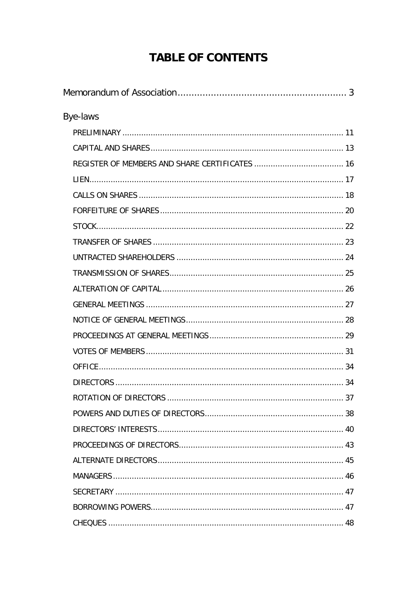# **TABLE OF CONTENTS**

| Bye-laws |  |
|----------|--|
|          |  |
|          |  |
|          |  |
|          |  |
|          |  |
|          |  |
|          |  |
|          |  |
|          |  |
|          |  |
|          |  |
|          |  |
|          |  |
|          |  |
|          |  |
|          |  |
|          |  |
|          |  |
|          |  |
|          |  |
|          |  |
|          |  |
|          |  |
|          |  |
|          |  |
|          |  |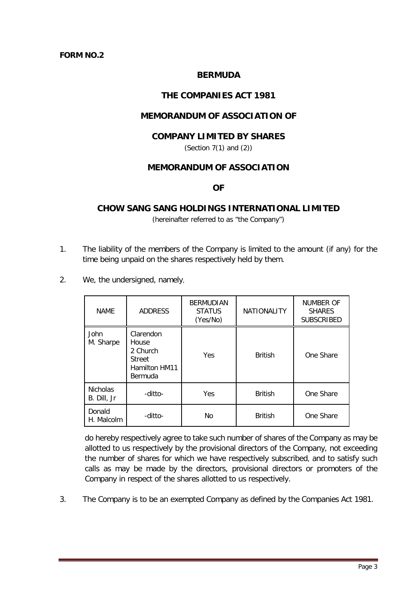#### **FORM NO.2**

## **BERMUDA**

## **THE COMPANIES ACT 1981**

## **MEMORANDUM OF ASSOCIATION OF**

#### **COMPANY LIMITED BY SHARES**

(Section 7(1) and (2))

## **MEMORANDUM OF ASSOCIATION**

#### **OF**

## <span id="page-3-0"></span>**CHOW SANG SANG HOLDINGS INTERNATIONAL LIMITED**

(hereinafter referred to as "the Company")

- 1. The liability of the members of the Company is limited to the amount (if any) for the time being unpaid on the shares respectively held by them.
- 2. We, the undersigned, namely,

| <b>NAME</b>                    | <b>ADDRESS</b>                                                                     | <b>BERMUDIAN</b><br><b>STATUS</b><br>(Yes/No) | <b>NATIONALITY</b> | NUMBER OF<br><b>SHARES</b><br><b>SUBSCRIBED</b> |
|--------------------------------|------------------------------------------------------------------------------------|-----------------------------------------------|--------------------|-------------------------------------------------|
| <b>John</b><br>M. Sharpe       | Clarendon<br>House<br>2 Church<br><b>Street</b><br>Hamilton HM11<br><b>Bermuda</b> | Yes                                           | <b>British</b>     | One Share                                       |
| <b>Nicholas</b><br>B. Dill, Jr | -ditto-                                                                            | Yes                                           | <b>British</b>     | One Share                                       |
| Donald<br>H. Malcolm           | -ditto-                                                                            | N <sub>o</sub>                                | <b>British</b>     | One Share                                       |

do hereby respectively agree to take such number of shares of the Company as may be allotted to us respectively by the provisional directors of the Company, not exceeding the number of shares for which we have respectively subscribed, and to satisfy such calls as may be made by the directors, provisional directors or promoters of the Company in respect of the shares allotted to us respectively.

3. The Company is to be an exempted Company as defined by the Companies Act 1981.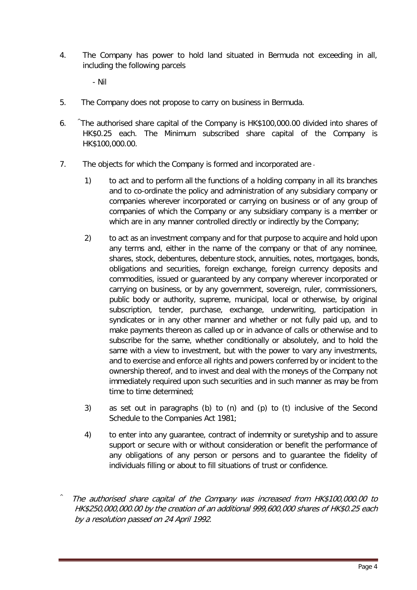4. The Company has power to hold land situated in Bermuda not exceeding in all, including the following parcels

- Nil

- 5. The Company does not propose to carry on business in Bermuda.
- 6. ^The authorised share capital of the Company is HK\$100,000.00 divided into shares of HK\$0.25 each. The Minimum subscribed share capital of the Company is HK\$100,000.00.
- 7. The objects for which the Company is formed and incorporated are
	- 1) to act and to perform all the functions of a holding company in all its branches and to co-ordinate the policy and administration of any subsidiary company or companies wherever incorporated or carrying on business or of any group of companies of which the Company or any subsidiary company is a member or which are in any manner controlled directly or indirectly by the Company;
	- 2) to act as an investment company and for that purpose to acquire and hold upon any terms and, either in the name of the company or that of any nominee, shares, stock, debentures, debenture stock, annuities, notes, mortgages, bonds, obligations and securities, foreign exchange, foreign currency deposits and commodities, issued or guaranteed by any company wherever incorporated or carrying on business, or by any government, sovereign, ruler, commissioners, public body or authority, supreme, municipal, local or otherwise, by original subscription, tender, purchase, exchange, underwriting, participation in syndicates or in any other manner and whether or not fully paid up, and to make payments thereon as called up or in advance of calls or otherwise and to subscribe for the same, whether conditionally or absolutely, and to hold the same with a view to investment, but with the power to vary any investments, and to exercise and enforce all rights and powers conferred by or incident to the ownership thereof, and to invest and deal with the moneys of the Company not immediately required upon such securities and in such manner as may be from time to time determined;
	- 3) as set out in paragraphs (b) to (n) and (p) to (t) inclusive of the Second Schedule to the Companies Act 1981;
	- 4) to enter into any guarantee, contract of indemnity or suretyship and to assure support or secure with or without consideration or benefit the performance of any obligations of any person or persons and to guarantee the fidelity of individuals filling or about to fill situations of trust or confidence.
- $\wedge$  The authorised share capital of the Company was increased from HK\$100,000.00 to HK\$250,000,000.00 by the creation of an additional 999,600,000 shares of HK\$0.25 each by a resolution passed on 24 April 1992.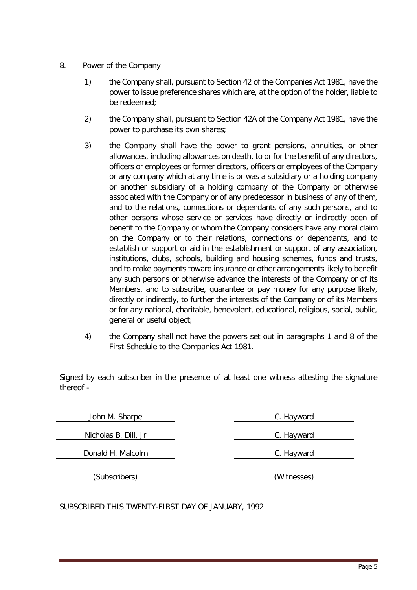- 8. Power of the Company
	- 1) the Company shall, pursuant to Section 42 of the Companies Act 1981, have the power to issue preference shares which are, at the option of the holder, liable to be redeemed;
	- 2) the Company shall, pursuant to Section 42A of the Company Act 1981, have the power to purchase its own shares;
	- 3) the Company shall have the power to grant pensions, annuities, or other allowances, including allowances on death, to or for the benefit of any directors, officers or employees or former directors, officers or employees of the Company or any company which at any time is or was a subsidiary or a holding company or another subsidiary of a holding company of the Company or otherwise associated with the Company or of any predecessor in business of any of them, and to the relations, connections or dependants of any such persons, and to other persons whose service or services have directly or indirectly been of benefit to the Company or whom the Company considers have any moral claim on the Company or to their relations, connections or dependants, and to establish or support or aid in the establishment or support of any association, institutions, clubs, schools, building and housing schemes, funds and trusts, and to make payments toward insurance or other arrangements likely to benefit any such persons or otherwise advance the interests of the Company or of its Members, and to subscribe, guarantee or pay money for any purpose likely, directly or indirectly, to further the interests of the Company or of its Members or for any national, charitable, benevolent, educational, religious, social, public, general or useful object;
	- 4) the Company shall not have the powers set out in paragraphs 1 and 8 of the First Schedule to the Companies Act 1981.

Signed by each subscriber in the presence of at least one witness attesting the signature thereof -

| John M. Sharpe       | C. Hayward  |  |
|----------------------|-------------|--|
| Nicholas B. Dill, Jr | C. Hayward  |  |
| Donald H. Malcolm    | C. Hayward  |  |
| (Subscribers)        | (Witnesses) |  |

SUBSCRIBED THIS TWENTY-FIRST DAY OF JANUARY, 1992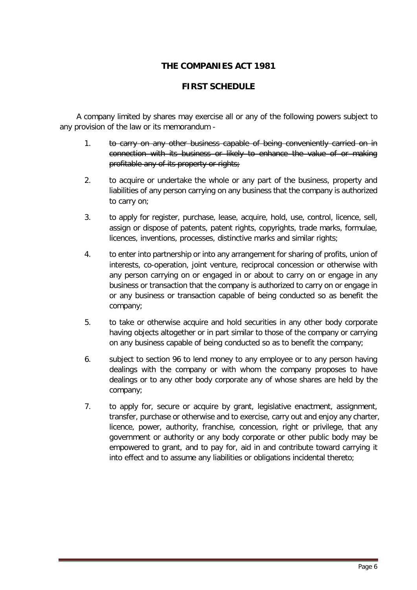# **THE COMPANIES ACT 1981**

## **FIRST SCHEDULE**

A company limited by shares may exercise all or any of the following powers subject to any provision of the law or its memorandum -

- 1. to carry on any other business capable of being conveniently carried on in connection with its business or likely to enhance the value of or making profitable any of its property or rights;
- 2. to acquire or undertake the whole or any part of the business, property and liabilities of any person carrying on any business that the company is authorized to carry on;
- 3. to apply for register, purchase, lease, acquire, hold, use, control, licence, sell, assign or dispose of patents, patent rights, copyrights, trade marks, formulae, licences, inventions, processes, distinctive marks and similar rights;
- 4. to enter into partnership or into any arrangement for sharing of profits, union of interests, co-operation, joint venture, reciprocal concession or otherwise with any person carrying on or engaged in or about to carry on or engage in any business or transaction that the company is authorized to carry on or engage in or any business or transaction capable of being conducted so as benefit the company;
- 5. to take or otherwise acquire and hold securities in any other body corporate having objects altogether or in part similar to those of the company or carrying on any business capable of being conducted so as to benefit the company;
- 6. subject to section 96 to lend money to any employee or to any person having dealings with the company or with whom the company proposes to have dealings or to any other body corporate any of whose shares are held by the company;
- 7. to apply for, secure or acquire by grant, legislative enactment, assignment, transfer, purchase or otherwise and to exercise, carry out and enjoy any charter, licence, power, authority, franchise, concession, right or privilege, that any government or authority or any body corporate or other public body may be empowered to grant, and to pay for, aid in and contribute toward carrying it into effect and to assume any liabilities or obligations incidental thereto;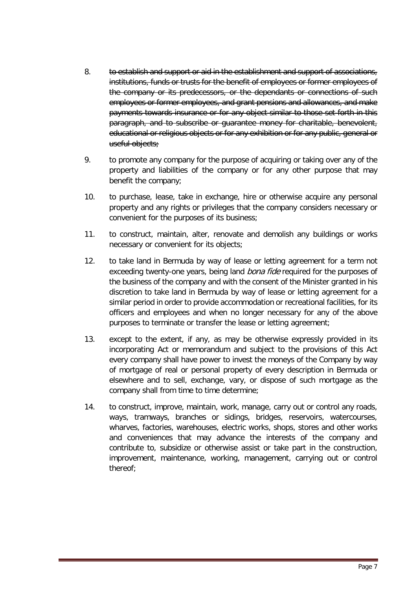- 8. to establish and support or aid in the establishment and support of associations, institutions, funds or trusts for the benefit of employees or former employees of the company or its predecessors, or the dependants or connections of such employees or former employees, and grant pensions and allowances, and make payments towards insurance or for any object similar to those set forth in this paragraph, and to subscribe or guarantee money for charitable, benevolent, educational or religious objects or for any exhibition or for any public, general or useful objects;
- 9. to promote any company for the purpose of acquiring or taking over any of the property and liabilities of the company or for any other purpose that may benefit the company;
- 10. to purchase, lease, take in exchange, hire or otherwise acquire any personal property and any rights or privileges that the company considers necessary or convenient for the purposes of its business;
- 11. to construct, maintain, alter, renovate and demolish any buildings or works necessary or convenient for its objects;
- 12. to take land in Bermuda by way of lease or letting agreement for a term not exceeding twenty-one years, being land bona fide required for the purposes of the business of the company and with the consent of the Minister granted in his discretion to take land in Bermuda by way of lease or letting agreement for a similar period in order to provide accommodation or recreational facilities, for its officers and employees and when no longer necessary for any of the above purposes to terminate or transfer the lease or letting agreement;
- 13. except to the extent, if any, as may be otherwise expressly provided in its incorporating Act or memorandum and subject to the provisions of this Act every company shall have power to invest the moneys of the Company by way of mortgage of real or personal property of every description in Bermuda or elsewhere and to sell, exchange, vary, or dispose of such mortgage as the company shall from time to time determine;
- 14. to construct, improve, maintain, work, manage, carry out or control any roads, ways, tramways, branches or sidings, bridges, reservoirs, watercourses, wharves, factories, warehouses, electric works, shops, stores and other works and conveniences that may advance the interests of the company and contribute to, subsidize or otherwise assist or take part in the construction, improvement, maintenance, working, management, carrying out or control thereof;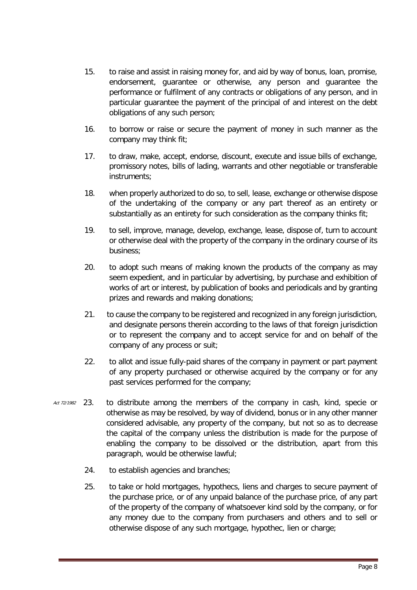- 15. to raise and assist in raising money for, and aid by way of bonus, loan, promise, endorsement, guarantee or otherwise, any person and guarantee the performance or fulfilment of any contracts or obligations of any person, and in particular guarantee the payment of the principal of and interest on the debt obligations of any such person;
- 16. to borrow or raise or secure the payment of money in such manner as the company may think fit;
- 17. to draw, make, accept, endorse, discount, execute and issue bills of exchange, promissory notes, bills of lading, warrants and other negotiable or transferable instruments;
- 18. when properly authorized to do so, to sell, lease, exchange or otherwise dispose of the undertaking of the company or any part thereof as an entirety or substantially as an entirety for such consideration as the company thinks fit;
- 19. to sell, improve, manage, develop, exchange, lease, dispose of, turn to account or otherwise deal with the property of the company in the ordinary course of its business;
- 20. to adopt such means of making known the products of the company as may seem expedient, and in particular by advertising, by purchase and exhibition of works of art or interest, by publication of books and periodicals and by granting prizes and rewards and making donations;
- 21. to cause the company to be registered and recognized in any foreign jurisdiction, and designate persons therein according to the laws of that foreign jurisdiction or to represent the company and to accept service for and on behalf of the company of any process or suit;
- 22. to allot and issue fully-paid shares of the company in payment or part payment of any property purchased or otherwise acquired by the company or for any past services performed for the company;
- Act 72/1982 23. to distribute among the members of the company in cash, kind, specie or otherwise as may be resolved, by way of dividend, bonus or in any other manner considered advisable, any property of the company, but not so as to decrease the capital of the company unless the distribution is made for the purpose of enabling the company to be dissolved or the distribution, apart from this paragraph, would be otherwise lawful;
	- 24. to establish agencies and branches;
	- 25. to take or hold mortgages, hypothecs, liens and charges to secure payment of the purchase price, or of any unpaid balance of the purchase price, of any part of the property of the company of whatsoever kind sold by the company, or for any money due to the company from purchasers and others and to sell or otherwise dispose of any such mortgage, hypothec, lien or charge;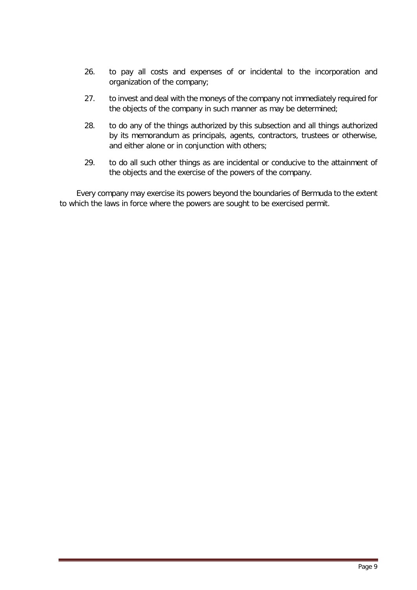- 26. to pay all costs and expenses of or incidental to the incorporation and organization of the company;
- 27. to invest and deal with the moneys of the company not immediately required for the objects of the company in such manner as may be determined;
- 28. to do any of the things authorized by this subsection and all things authorized by its memorandum as principals, agents, contractors, trustees or otherwise, and either alone or in conjunction with others;
- 29. to do all such other things as are incidental or conducive to the attainment of the objects and the exercise of the powers of the company.

Every company may exercise its powers beyond the boundaries of Bermuda to the extent to which the laws in force where the powers are sought to be exercised permit.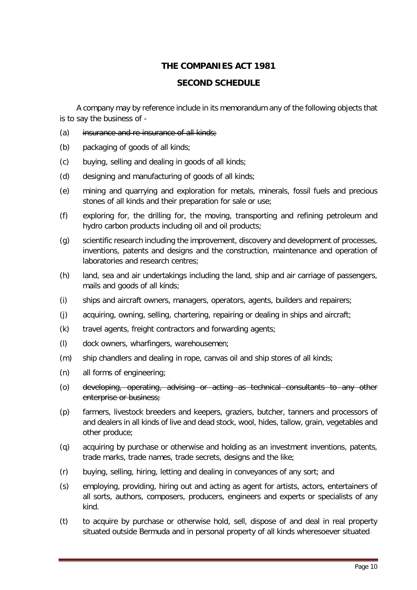# **THE COMPANIES ACT 1981**

## **SECOND SCHEDULE**

A company may by reference include in its memorandum any of the following objects that is to say the business of -

- (a) insurance and re-insurance of all kinds;
- (b) packaging of goods of all kinds;
- (c) buying, selling and dealing in goods of all kinds;
- (d) designing and manufacturing of goods of all kinds;
- (e) mining and quarrying and exploration for metals, minerals, fossil fuels and precious stones of all kinds and their preparation for sale or use;
- (f) exploring for, the drilling for, the moving, transporting and refining petroleum and hydro carbon products including oil and oil products;
- (g) scientific research including the improvement, discovery and development of processes, inventions, patents and designs and the construction, maintenance and operation of laboratories and research centres;
- (h) land, sea and air undertakings including the land, ship and air carriage of passengers, mails and goods of all kinds;
- (i) ships and aircraft owners, managers, operators, agents, builders and repairers;
- (j) acquiring, owning, selling, chartering, repairing or dealing in ships and aircraft;
- (k) travel agents, freight contractors and forwarding agents;
- (l) dock owners, wharfingers, warehousemen;
- (m) ship chandlers and dealing in rope, canvas oil and ship stores of all kinds;
- (n) all forms of engineering;
- (o) developing, operating, advising or acting as technical consultants to any other enterprise or business;
- (p) farmers, livestock breeders and keepers, graziers, butcher, tanners and processors of and dealers in all kinds of live and dead stock, wool, hides, tallow, grain, vegetables and other produce;
- (q) acquiring by purchase or otherwise and holding as an investment inventions, patents, trade marks, trade names, trade secrets, designs and the like;
- (r) buying, selling, hiring, letting and dealing in conveyances of any sort; and
- (s) employing, providing, hiring out and acting as agent for artists, actors, entertainers of all sorts, authors, composers, producers, engineers and experts or specialists of any kind.
- (t) to acquire by purchase or otherwise hold, sell, dispose of and deal in real property situated outside Bermuda and in personal property of all kinds wheresoever situated,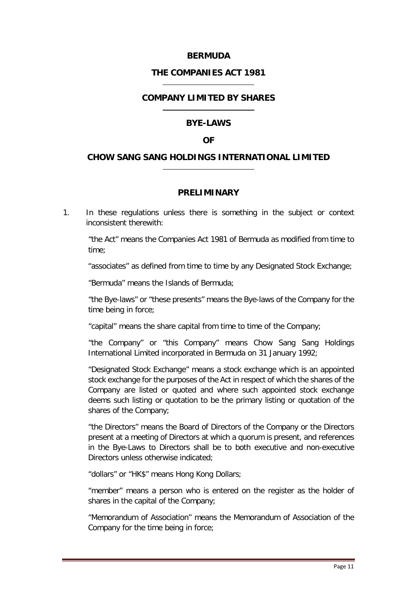## **BERMUDA**

#### **THE COMPANIES ACT 1981**

## **COMPANY LIMITED BY SHARES**

#### **BYE-LAWS**

#### **OF**

#### <span id="page-11-0"></span>**CHOW SANG SANG HOLDINGS INTERNATIONAL LIMITED**

#### **PRELIMINARY**

<span id="page-11-1"></span>1. In these regulations unless there is something in the subject or context inconsistent therewith:

"the Act" means the Companies Act 1981 of Bermuda as modified from time to time;

"associates" as defined from time to time by any Designated Stock Exchange;

"Bermuda" means the Islands of Bermuda;

"the Bye-laws" or "these presents" means the Bye-laws of the Company for the time being in force;

"capital" means the share capital from time to time of the Company;

"the Company" or "this Company" means Chow Sang Sang Holdings International Limited incorporated in Bermuda on 31 January 1992;

"Designated Stock Exchange" means a stock exchange which is an appointed stock exchange for the purposes of the Act in respect of which the shares of the Company are listed or quoted and where such appointed stock exchange deems such listing or quotation to be the primary listing or quotation of the shares of the Company;

"the Directors" means the Board of Directors of the Company or the Directors present at a meeting of Directors at which a quorum is present, and references in the Bye-Laws to Directors shall be to both executive and non-executive Directors unless otherwise indicated;

"dollars" or "HK\$" means Hong Kong Dollars;

"member" means a person who is entered on the register as the holder of shares in the capital of the Company;

"Memorandum of Association" means the Memorandum of Association of the Company for the time being in force;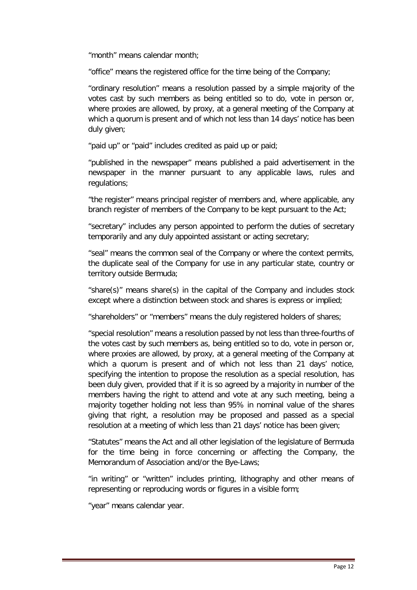"month" means calendar month;

"office" means the registered office for the time being of the Company;

"ordinary resolution" means a resolution passed by a simple majority of the votes cast by such members as being entitled so to do, vote in person or, where proxies are allowed, by proxy, at a general meeting of the Company at which a quorum is present and of which not less than 14 days' notice has been duly given;

"paid up" or "paid" includes credited as paid up or paid;

"published in the newspaper" means published a paid advertisement in the newspaper in the manner pursuant to any applicable laws, rules and regulations;

"the register" means principal register of members and, where applicable, any branch register of members of the Company to be kept pursuant to the Act;

"secretary" includes any person appointed to perform the duties of secretary temporarily and any duly appointed assistant or acting secretary;

"seal" means the common seal of the Company or where the context permits, the duplicate seal of the Company for use in any particular state, country or territory outside Bermuda;

"share(s)" means share(s) in the capital of the Company and includes stock except where a distinction between stock and shares is express or implied;

"shareholders" or "members" means the duly registered holders of shares;

"special resolution" means a resolution passed by not less than three-fourths of the votes cast by such members as, being entitled so to do, vote in person or, where proxies are allowed, by proxy, at a general meeting of the Company at which a quorum is present and of which not less than 21 days' notice, specifying the intention to propose the resolution as a special resolution, has been duly given, provided that if it is so agreed by a majority in number of the members having the right to attend and vote at any such meeting, being a majority together holding not less than 95% in nominal value of the shares giving that right, a resolution may be proposed and passed as a special resolution at a meeting of which less than 21 days' notice has been given;

"Statutes" means the Act and all other legislation of the legislature of Bermuda for the time being in force concerning or affecting the Company, the Memorandum of Association and/or the Bye-Laws;

"in writing" or "written" includes printing, lithography and other means of representing or reproducing words or figures in a visible form;

"year" means calendar year.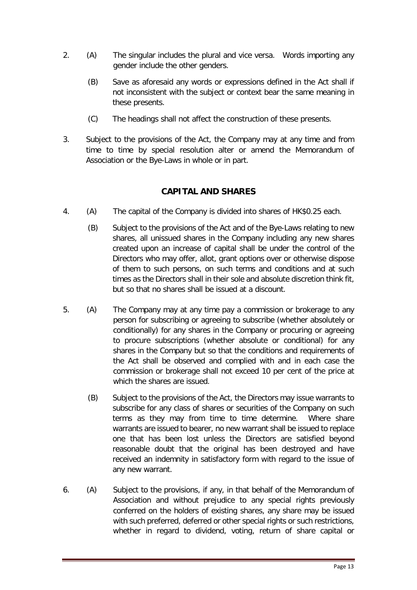- 2. (A) The singular includes the plural and vice versa. Words importing any gender include the other genders.
	- (B) Save as aforesaid any words or expressions defined in the Act shall if not inconsistent with the subject or context bear the same meaning in these presents.
	- (C) The headings shall not affect the construction of these presents.
- 3. Subject to the provisions of the Act, the Company may at any time and from time to time by special resolution alter or amend the Memorandum of Association or the Bye-Laws in whole or in part.

## **CAPITAL AND SHARES**

- <span id="page-13-0"></span>4. (A) The capital of the Company is divided into shares of HK\$0.25 each.
	- (B) Subject to the provisions of the Act and of the Bye-Laws relating to new shares, all unissued shares in the Company including any new shares created upon an increase of capital shall be under the control of the Directors who may offer, allot, grant options over or otherwise dispose of them to such persons, on such terms and conditions and at such times as the Directors shall in their sole and absolute discretion think fit, but so that no shares shall be issued at a discount.
- 5. (A) The Company may at any time pay a commission or brokerage to any person for subscribing or agreeing to subscribe (whether absolutely or conditionally) for any shares in the Company or procuring or agreeing to procure subscriptions (whether absolute or conditional) for any shares in the Company but so that the conditions and requirements of the Act shall be observed and complied with and in each case the commission or brokerage shall not exceed 10 per cent of the price at which the shares are issued.
	- (B) Subject to the provisions of the Act, the Directors may issue warrants to subscribe for any class of shares or securities of the Company on such terms as they may from time to time determine. Where share warrants are issued to bearer, no new warrant shall be issued to replace one that has been lost unless the Directors are satisfied beyond reasonable doubt that the original has been destroyed and have received an indemnity in satisfactory form with regard to the issue of any new warrant.
- 6. (A) Subject to the provisions, if any, in that behalf of the Memorandum of Association and without prejudice to any special rights previously conferred on the holders of existing shares, any share may be issued with such preferred, deferred or other special rights or such restrictions, whether in regard to dividend, voting, return of share capital or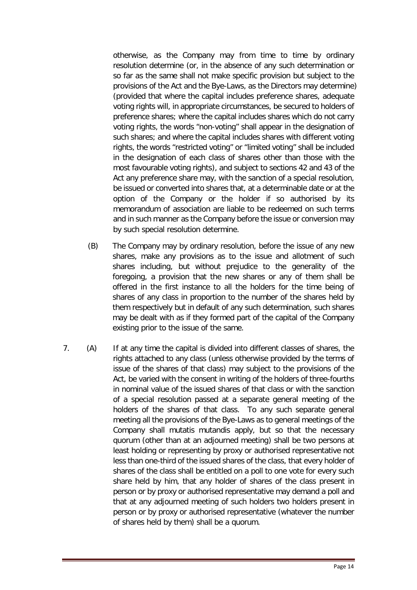otherwise, as the Company may from time to time by ordinary resolution determine (or, in the absence of any such determination or so far as the same shall not make specific provision but subject to the provisions of the Act and the Bye-Laws, as the Directors may determine) (provided that where the capital includes preference shares, adequate voting rights will, in appropriate circumstances, be secured to holders of preference shares; where the capital includes shares which do not carry voting rights, the words "non-voting" shall appear in the designation of such shares; and where the capital includes shares with different voting rights, the words "restricted voting" or "limited voting" shall be included in the designation of each class of shares other than those with the most favourable voting rights), and subject to sections 42 and 43 of the Act any preference share may, with the sanction of a special resolution, be issued or converted into shares that, at a determinable date or at the option of the Company or the holder if so authorised by its memorandum of association are liable to be redeemed on such terms and in such manner as the Company before the issue or conversion may by such special resolution determine.

- (B) The Company may by ordinary resolution, before the issue of any new shares, make any provisions as to the issue and allotment of such shares including, but without prejudice to the generality of the foregoing, a provision that the new shares or any of them shall be offered in the first instance to all the holders for the time being of shares of any class in proportion to the number of the shares held by them respectively but in default of any such determination, such shares may be dealt with as if they formed part of the capital of the Company existing prior to the issue of the same.
- 7. (A) If at any time the capital is divided into different classes of shares, the rights attached to any class (unless otherwise provided by the terms of issue of the shares of that class) may subject to the provisions of the Act, be varied with the consent in writing of the holders of three-fourths in nominal value of the issued shares of that class or with the sanction of a special resolution passed at a separate general meeting of the holders of the shares of that class. To any such separate general meeting all the provisions of the Bye-Laws as to general meetings of the Company shall mutatis mutandis apply, but so that the necessary quorum (other than at an adjourned meeting) shall be two persons at least holding or representing by proxy or authorised representative not less than one-third of the issued shares of the class, that every holder of shares of the class shall be entitled on a poll to one vote for every such share held by him, that any holder of shares of the class present in person or by proxy or authorised representative may demand a poll and that at any adjourned meeting of such holders two holders present in person or by proxy or authorised representative (whatever the number of shares held by them) shall be a quorum.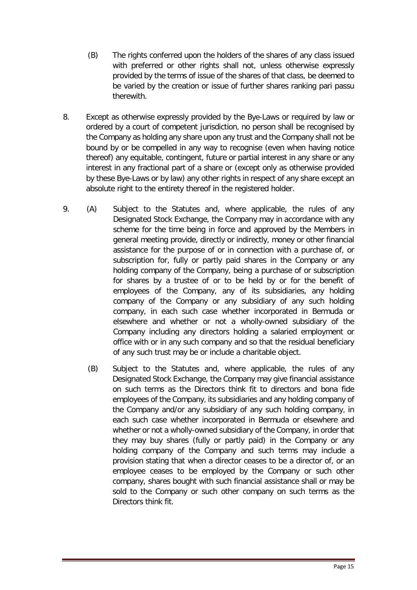- (B) The rights conferred upon the holders of the shares of any class issued with preferred or other rights shall not, unless otherwise expressly provided by the terms of issue of the shares of that class, be deemed to be varied by the creation or issue of further shares ranking pari passu therewith.
- 8. Except as otherwise expressly provided by the Bye-Laws or required by law or ordered by a court of competent jurisdiction, no person shall be recognised by the Company as holding any share upon any trust and the Company shall not be bound by or be compelled in any way to recognise (even when having notice thereof) any equitable, contingent, future or partial interest in any share or any interest in any fractional part of a share or (except only as otherwise provided by these Bye-Laws or by law) any other rights in respect of any share except an absolute right to the entirety thereof in the registered holder.
- 9. (A) Subject to the Statutes and, where applicable, the rules of any Designated Stock Exchange, the Company may in accordance with any scheme for the time being in force and approved by the Members in general meeting provide, directly or indirectly, money or other financial assistance for the purpose of or in connection with a purchase of, or subscription for, fully or partly paid shares in the Company or any holding company of the Company, being a purchase of or subscription for shares by a trustee of or to be held by or for the benefit of employees of the Company, any of its subsidiaries, any holding company of the Company or any subsidiary of any such holding company, in each such case whether incorporated in Bermuda or elsewhere and whether or not a wholly-owned subsidiary of the Company including any directors holding a salaried employment or office with or in any such company and so that the residual beneficiary of any such trust may be or include a charitable object.
	- (B) Subject to the Statutes and, where applicable, the rules of any Designated Stock Exchange, the Company may give financial assistance on such terms as the Directors think fit to directors and bona fide employees of the Company, its subsidiaries and any holding company of the Company and/or any subsidiary of any such holding company, in each such case whether incorporated in Bermuda or elsewhere and whether or not a wholly-owned subsidiary of the Company, in order that they may buy shares (fully or partly paid) in the Company or any holding company of the Company and such terms may include a provision stating that when a director ceases to be a director of, or an employee ceases to be employed by the Company or such other company, shares bought with such financial assistance shall or may be sold to the Company or such other company on such terms as the Directors think fit.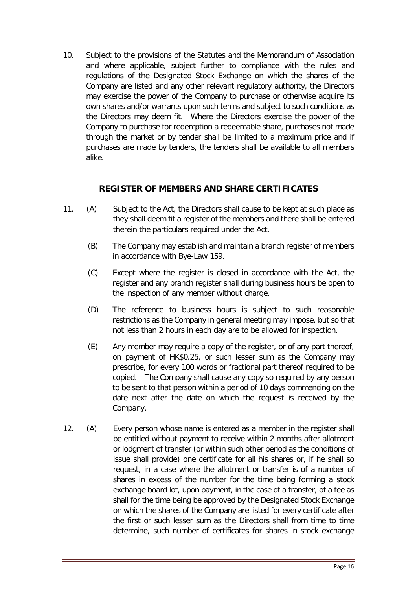10. Subject to the provisions of the Statutes and the Memorandum of Association and where applicable, subject further to compliance with the rules and regulations of the Designated Stock Exchange on which the shares of the Company are listed and any other relevant regulatory authority, the Directors may exercise the power of the Company to purchase or otherwise acquire its own shares and/or warrants upon such terms and subject to such conditions as the Directors may deem fit. Where the Directors exercise the power of the Company to purchase for redemption a redeemable share, purchases not made through the market or by tender shall be limited to a maximum price and if purchases are made by tenders, the tenders shall be available to all members alike.

## **REGISTER OF MEMBERS AND SHARE CERTIFICATES**

- <span id="page-16-0"></span>11. (A) Subject to the Act, the Directors shall cause to be kept at such place as they shall deem fit a register of the members and there shall be entered therein the particulars required under the Act.
	- (B) The Company may establish and maintain a branch register of members in accordance with Bye-Law 159.
	- (C) Except where the register is closed in accordance with the Act, the register and any branch register shall during business hours be open to the inspection of any member without charge.
	- (D) The reference to business hours is subject to such reasonable restrictions as the Company in general meeting may impose, but so that not less than 2 hours in each day are to be allowed for inspection.
	- (E) Any member may require a copy of the register, or of any part thereof, on payment of HK\$0.25, or such lesser sum as the Company may prescribe, for every 100 words or fractional part thereof required to be copied. The Company shall cause any copy so required by any person to be sent to that person within a period of 10 days commencing on the date next after the date on which the request is received by the Company.
- 12. (A) Every person whose name is entered as a member in the register shall be entitled without payment to receive within 2 months after allotment or lodgment of transfer (or within such other period as the conditions of issue shall provide) one certificate for all his shares or, if he shall so request, in a case where the allotment or transfer is of a number of shares in excess of the number for the time being forming a stock exchange board lot, upon payment, in the case of a transfer, of a fee as shall for the time being be approved by the Designated Stock Exchange on which the shares of the Company are listed for every certificate after the first or such lesser sum as the Directors shall from time to time determine, such number of certificates for shares in stock exchange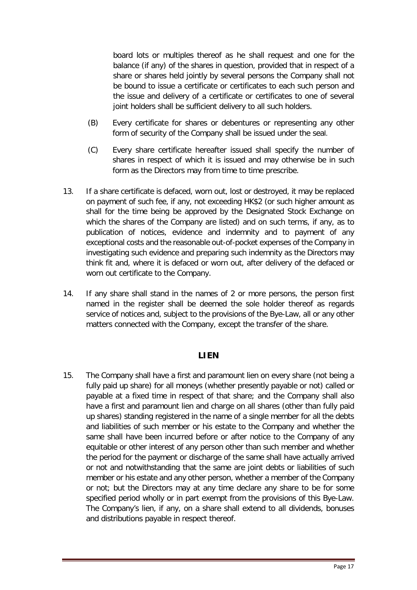board lots or multiples thereof as he shall request and one for the balance (if any) of the shares in question, provided that in respect of a share or shares held jointly by several persons the Company shall not be bound to issue a certificate or certificates to each such person and the issue and delivery of a certificate or certificates to one of several joint holders shall be sufficient delivery to all such holders.

- (B) Every certificate for shares or debentures or representing any other form of security of the Company shall be issued under the seal.
- (C) Every share certificate hereafter issued shall specify the number of shares in respect of which it is issued and may otherwise be in such form as the Directors may from time to time prescribe.
- 13. If a share certificate is defaced, worn out, lost or destroyed, it may be replaced on payment of such fee, if any, not exceeding HK\$2 (or such higher amount as shall for the time being be approved by the Designated Stock Exchange on which the shares of the Company are listed) and on such terms, if any, as to publication of notices, evidence and indemnity and to payment of any exceptional costs and the reasonable out-of-pocket expenses of the Company in investigating such evidence and preparing such indemnity as the Directors may think fit and, where it is defaced or worn out, after delivery of the defaced or worn out certificate to the Company.
- 14. If any share shall stand in the names of 2 or more persons, the person first named in the register shall be deemed the sole holder thereof as regards service of notices and, subject to the provisions of the Bye-Law, all or any other matters connected with the Company, except the transfer of the share.

#### **LIEN**

<span id="page-17-0"></span>15. The Company shall have a first and paramount lien on every share (not being a fully paid up share) for all moneys (whether presently payable or not) called or payable at a fixed time in respect of that share; and the Company shall also have a first and paramount lien and charge on all shares (other than fully paid up shares) standing registered in the name of a single member for all the debts and liabilities of such member or his estate to the Company and whether the same shall have been incurred before or after notice to the Company of any equitable or other interest of any person other than such member and whether the period for the payment or discharge of the same shall have actually arrived or not and notwithstanding that the same are joint debts or liabilities of such member or his estate and any other person, whether a member of the Company or not; but the Directors may at any time declare any share to be for some specified period wholly or in part exempt from the provisions of this Bye-Law. The Company's lien, if any, on a share shall extend to all dividends, bonuses and distributions payable in respect thereof.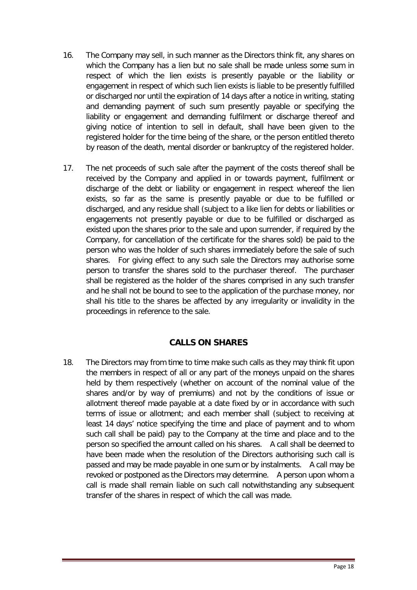- 16. The Company may sell, in such manner as the Directors think fit, any shares on which the Company has a lien but no sale shall be made unless some sum in respect of which the lien exists is presently payable or the liability or engagement in respect of which such lien exists is liable to be presently fulfilled or discharged nor until the expiration of 14 days after a notice in writing, stating and demanding payment of such sum presently payable or specifying the liability or engagement and demanding fulfilment or discharge thereof and giving notice of intention to sell in default, shall have been given to the registered holder for the time being of the share, or the person entitled thereto by reason of the death, mental disorder or bankruptcy of the registered holder.
- 17. The net proceeds of such sale after the payment of the costs thereof shall be received by the Company and applied in or towards payment, fulfilment or discharge of the debt or liability or engagement in respect whereof the lien exists, so far as the same is presently payable or due to be fulfilled or discharged, and any residue shall (subject to a like lien for debts or liabilities or engagements not presently payable or due to be fulfilled or discharged as existed upon the shares prior to the sale and upon surrender, if required by the Company, for cancellation of the certificate for the shares sold) be paid to the person who was the holder of such shares immediately before the sale of such shares. For giving effect to any such sale the Directors may authorise some person to transfer the shares sold to the purchaser thereof. The purchaser shall be registered as the holder of the shares comprised in any such transfer and he shall not be bound to see to the application of the purchase money, nor shall his title to the shares be affected by any irregularity or invalidity in the proceedings in reference to the sale.

# **CALLS ON SHARES**

<span id="page-18-0"></span>18. The Directors may from time to time make such calls as they may think fit upon the members in respect of all or any part of the moneys unpaid on the shares held by them respectively (whether on account of the nominal value of the shares and/or by way of premiums) and not by the conditions of issue or allotment thereof made payable at a date fixed by or in accordance with such terms of issue or allotment; and each member shall (subject to receiving at least 14 days' notice specifying the time and place of payment and to whom such call shall be paid) pay to the Company at the time and place and to the person so specified the amount called on his shares. A call shall be deemed to have been made when the resolution of the Directors authorising such call is passed and may be made payable in one sum or by instalments. A call may be revoked or postponed as the Directors may determine. A person upon whom a call is made shall remain liable on such call notwithstanding any subsequent transfer of the shares in respect of which the call was made.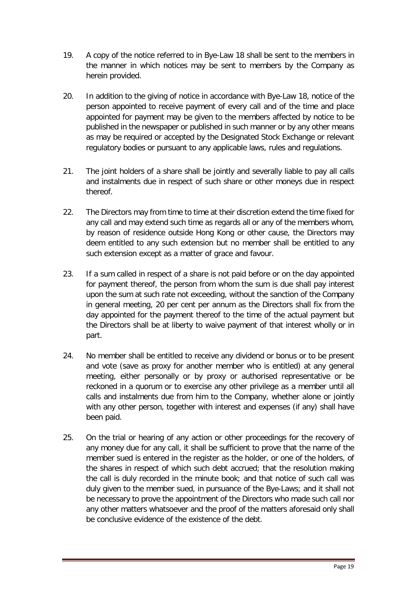- 19. A copy of the notice referred to in Bye-Law 18 shall be sent to the members in the manner in which notices may be sent to members by the Company as herein provided.
- 20. In addition to the giving of notice in accordance with Bye-Law 18, notice of the person appointed to receive payment of every call and of the time and place appointed for payment may be given to the members affected by notice to be published in the newspaper or published in such manner or by any other means as may be required or accepted by the Designated Stock Exchange or relevant regulatory bodies or pursuant to any applicable laws, rules and regulations.
- 21. The joint holders of a share shall be jointly and severally liable to pay all calls and instalments due in respect of such share or other moneys due in respect thereof.
- 22. The Directors may from time to time at their discretion extend the time fixed for any call and may extend such time as regards all or any of the members whom, by reason of residence outside Hong Kong or other cause, the Directors may deem entitled to any such extension but no member shall be entitled to any such extension except as a matter of grace and favour.
- 23. If a sum called in respect of a share is not paid before or on the day appointed for payment thereof, the person from whom the sum is due shall pay interest upon the sum at such rate not exceeding, without the sanction of the Company in general meeting, 20 per cent per annum as the Directors shall fix from the day appointed for the payment thereof to the time of the actual payment but the Directors shall be at liberty to waive payment of that interest wholly or in part.
- 24. No member shall be entitled to receive any dividend or bonus or to be present and vote (save as proxy for another member who is entitled) at any general meeting, either personally or by proxy or authorised representative or be reckoned in a quorum or to exercise any other privilege as a member until all calls and instalments due from him to the Company, whether alone or jointly with any other person, together with interest and expenses (if any) shall have been paid.
- 25. On the trial or hearing of any action or other proceedings for the recovery of any money due for any call, it shall be sufficient to prove that the name of the member sued is entered in the register as the holder, or one of the holders, of the shares in respect of which such debt accrued; that the resolution making the call is duly recorded in the minute book; and that notice of such call was duly given to the member sued, in pursuance of the Bye-Laws; and it shall not be necessary to prove the appointment of the Directors who made such call nor any other matters whatsoever and the proof of the matters aforesaid only shall be conclusive evidence of the existence of the debt.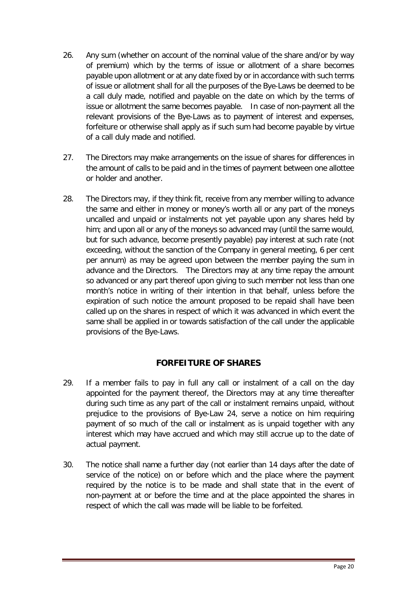- 26. Any sum (whether on account of the nominal value of the share and/or by way of premium) which by the terms of issue or allotment of a share becomes payable upon allotment or at any date fixed by or in accordance with such terms of issue or allotment shall for all the purposes of the Bye-Laws be deemed to be a call duly made, notified and payable on the date on which by the terms of issue or allotment the same becomes payable. In case of non-payment all the relevant provisions of the Bye-Laws as to payment of interest and expenses, forfeiture or otherwise shall apply as if such sum had become payable by virtue of a call duly made and notified.
- 27. The Directors may make arrangements on the issue of shares for differences in the amount of calls to be paid and in the times of payment between one allottee or holder and another.
- 28. The Directors may, if they think fit, receive from any member willing to advance the same and either in money or money's worth all or any part of the moneys uncalled and unpaid or instalments not yet payable upon any shares held by him; and upon all or any of the moneys so advanced may (until the same would, but for such advance, become presently payable) pay interest at such rate (not exceeding, without the sanction of the Company in general meeting, 6 per cent per annum) as may be agreed upon between the member paying the sum in advance and the Directors. The Directors may at any time repay the amount so advanced or any part thereof upon giving to such member not less than one month's notice in writing of their intention in that behalf, unless before the expiration of such notice the amount proposed to be repaid shall have been called up on the shares in respect of which it was advanced in which event the same shall be applied in or towards satisfaction of the call under the applicable provisions of the Bye-Laws.

# **FORFEITURE OF SHARES**

- <span id="page-20-0"></span>29. If a member fails to pay in full any call or instalment of a call on the day appointed for the payment thereof, the Directors may at any time thereafter during such time as any part of the call or instalment remains unpaid, without prejudice to the provisions of Bye-Law 24, serve a notice on him requiring payment of so much of the call or instalment as is unpaid together with any interest which may have accrued and which may still accrue up to the date of actual payment.
- 30. The notice shall name a further day (not earlier than 14 days after the date of service of the notice) on or before which and the place where the payment required by the notice is to be made and shall state that in the event of non-payment at or before the time and at the place appointed the shares in respect of which the call was made will be liable to be forfeited.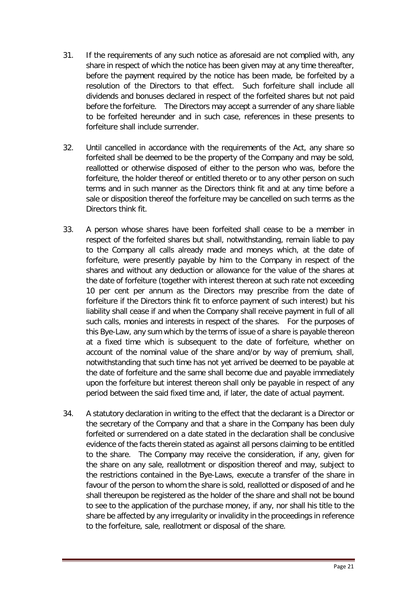- 31. If the requirements of any such notice as aforesaid are not complied with, any share in respect of which the notice has been given may at any time thereafter, before the payment required by the notice has been made, be forfeited by a resolution of the Directors to that effect. Such forfeiture shall include all dividends and bonuses declared in respect of the forfeited shares but not paid before the forfeiture. The Directors may accept a surrender of any share liable to be forfeited hereunder and in such case, references in these presents to forfeiture shall include surrender.
- 32. Until cancelled in accordance with the requirements of the Act, any share so forfeited shall be deemed to be the property of the Company and may be sold, reallotted or otherwise disposed of either to the person who was, before the forfeiture, the holder thereof or entitled thereto or to any other person on such terms and in such manner as the Directors think fit and at any time before a sale or disposition thereof the forfeiture may be cancelled on such terms as the Directors think fit.
- 33. A person whose shares have been forfeited shall cease to be a member in respect of the forfeited shares but shall, notwithstanding, remain liable to pay to the Company all calls already made and moneys which, at the date of forfeiture, were presently payable by him to the Company in respect of the shares and without any deduction or allowance for the value of the shares at the date of forfeiture (together with interest thereon at such rate not exceeding 10 per cent per annum as the Directors may prescribe from the date of forfeiture if the Directors think fit to enforce payment of such interest) but his liability shall cease if and when the Company shall receive payment in full of all such calls, monies and interests in respect of the shares. For the purposes of this Bye-Law, any sum which by the terms of issue of a share is payable thereon at a fixed time which is subsequent to the date of forfeiture, whether on account of the nominal value of the share and/or by way of premium, shall, notwithstanding that such time has not yet arrived be deemed to be payable at the date of forfeiture and the same shall become due and payable immediately upon the forfeiture but interest thereon shall only be payable in respect of any period between the said fixed time and, if later, the date of actual payment.
- 34. A statutory declaration in writing to the effect that the declarant is a Director or the secretary of the Company and that a share in the Company has been duly forfeited or surrendered on a date stated in the declaration shall be conclusive evidence of the facts therein stated as against all persons claiming to be entitled to the share. The Company may receive the consideration, if any, given for the share on any sale, reallotment or disposition thereof and may, subject to the restrictions contained in the Bye-Laws, execute a transfer of the share in favour of the person to whom the share is sold, reallotted or disposed of and he shall thereupon be registered as the holder of the share and shall not be bound to see to the application of the purchase money, if any, nor shall his title to the share be affected by any irregularity or invalidity in the proceedings in reference to the forfeiture, sale, reallotment or disposal of the share.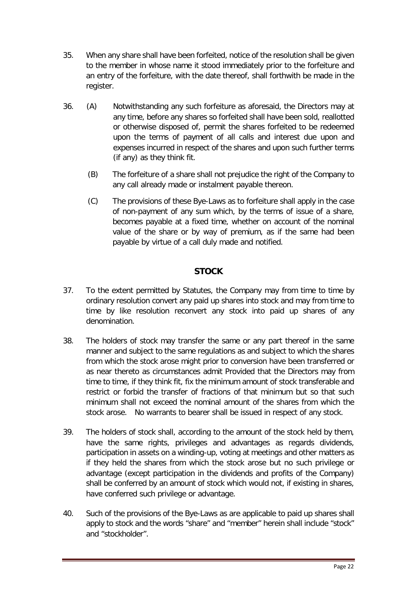- 35. When any share shall have been forfeited, notice of the resolution shall be given to the member in whose name it stood immediately prior to the forfeiture and an entry of the forfeiture, with the date thereof, shall forthwith be made in the register.
- 36. (A) Notwithstanding any such forfeiture as aforesaid, the Directors may at any time, before any shares so forfeited shall have been sold, reallotted or otherwise disposed of, permit the shares forfeited to be redeemed upon the terms of payment of all calls and interest due upon and expenses incurred in respect of the shares and upon such further terms (if any) as they think fit.
	- (B) The forfeiture of a share shall not prejudice the right of the Company to any call already made or instalment payable thereon.
	- (C) The provisions of these Bye-Laws as to forfeiture shall apply in the case of non-payment of any sum which, by the terms of issue of a share, becomes payable at a fixed time, whether on account of the nominal value of the share or by way of premium, as if the same had been payable by virtue of a call duly made and notified.

## **STOCK**

- <span id="page-22-0"></span>37. To the extent permitted by Statutes, the Company may from time to time by ordinary resolution convert any paid up shares into stock and may from time to time by like resolution reconvert any stock into paid up shares of any denomination.
- 38. The holders of stock may transfer the same or any part thereof in the same manner and subject to the same regulations as and subject to which the shares from which the stock arose might prior to conversion have been transferred or as near thereto as circumstances admit Provided that the Directors may from time to time, if they think fit, fix the minimum amount of stock transferable and restrict or forbid the transfer of fractions of that minimum but so that such minimum shall not exceed the nominal amount of the shares from which the stock arose. No warrants to bearer shall be issued in respect of any stock.
- 39. The holders of stock shall, according to the amount of the stock held by them, have the same rights, privileges and advantages as regards dividends, participation in assets on a winding-up, voting at meetings and other matters as if they held the shares from which the stock arose but no such privilege or advantage (except participation in the dividends and profits of the Company) shall be conferred by an amount of stock which would not, if existing in shares, have conferred such privilege or advantage.
- 40. Such of the provisions of the Bye-Laws as are applicable to paid up shares shall apply to stock and the words "share" and "member" herein shall include "stock" and "stockholder".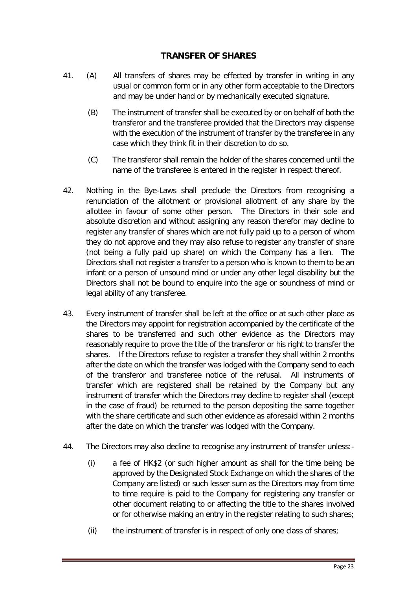## **TRANSFER OF SHARES**

- <span id="page-23-0"></span>41. (A) All transfers of shares may be effected by transfer in writing in any usual or common form or in any other form acceptable to the Directors and may be under hand or by mechanically executed signature.
	- (B) The instrument of transfer shall be executed by or on behalf of both the transferor and the transferee provided that the Directors may dispense with the execution of the instrument of transfer by the transferee in any case which they think fit in their discretion to do so.
	- (C) The transferor shall remain the holder of the shares concerned until the name of the transferee is entered in the register in respect thereof.
- 42. Nothing in the Bye-Laws shall preclude the Directors from recognising a renunciation of the allotment or provisional allotment of any share by the allottee in favour of some other person. The Directors in their sole and absolute discretion and without assigning any reason therefor may decline to register any transfer of shares which are not fully paid up to a person of whom they do not approve and they may also refuse to register any transfer of share (not being a fully paid up share) on which the Company has a lien. The Directors shall not register a transfer to a person who is known to them to be an infant or a person of unsound mind or under any other legal disability but the Directors shall not be bound to enquire into the age or soundness of mind or legal ability of any transferee.
- 43. Every instrument of transfer shall be left at the office or at such other place as the Directors may appoint for registration accompanied by the certificate of the shares to be transferred and such other evidence as the Directors may reasonably require to prove the title of the transferor or his right to transfer the shares. If the Directors refuse to register a transfer they shall within 2 months after the date on which the transfer was lodged with the Company send to each of the transferor and transferee notice of the refusal. All instruments of transfer which are registered shall be retained by the Company but any instrument of transfer which the Directors may decline to register shall (except in the case of fraud) be returned to the person depositing the same together with the share certificate and such other evidence as aforesaid within 2 months after the date on which the transfer was lodged with the Company.
- 44. The Directors may also decline to recognise any instrument of transfer unless:-
	- (i) a fee of HK\$2 (or such higher amount as shall for the time being be approved by the Designated Stock Exchange on which the shares of the Company are listed) or such lesser sum as the Directors may from time to time require is paid to the Company for registering any transfer or other document relating to or affecting the title to the shares involved or for otherwise making an entry in the register relating to such shares;
	- (ii) the instrument of transfer is in respect of only one class of shares;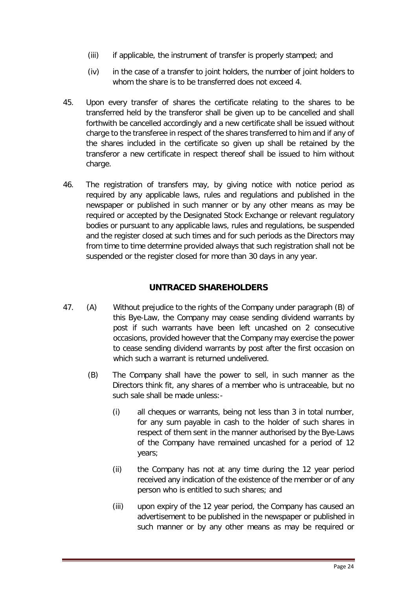- (iii) if applicable, the instrument of transfer is properly stamped; and
- (iv) in the case of a transfer to joint holders, the number of joint holders to whom the share is to be transferred does not exceed 4.
- 45. Upon every transfer of shares the certificate relating to the shares to be transferred held by the transferor shall be given up to be cancelled and shall forthwith be cancelled accordingly and a new certificate shall be issued without charge to the transferee in respect of the shares transferred to him and if any of the shares included in the certificate so given up shall be retained by the transferor a new certificate in respect thereof shall be issued to him without charge.
- 46. The registration of transfers may, by giving notice with notice period as required by any applicable laws, rules and regulations and published in the newspaper or published in such manner or by any other means as may be required or accepted by the Designated Stock Exchange or relevant regulatory bodies or pursuant to any applicable laws, rules and regulations, be suspended and the register closed at such times and for such periods as the Directors may from time to time determine provided always that such registration shall not be suspended or the register closed for more than 30 days in any year.

## **UNTRACED SHAREHOLDERS**

- <span id="page-24-0"></span>47. (A) Without prejudice to the rights of the Company under paragraph (B) of this Bye-Law, the Company may cease sending dividend warrants by post if such warrants have been left uncashed on 2 consecutive occasions, provided however that the Company may exercise the power to cease sending dividend warrants by post after the first occasion on which such a warrant is returned undelivered.
	- (B) The Company shall have the power to sell, in such manner as the Directors think fit, any shares of a member who is untraceable, but no such sale shall be made unless:-
		- (i) all cheques or warrants, being not less than 3 in total number, for any sum payable in cash to the holder of such shares in respect of them sent in the manner authorised by the Bye-Laws of the Company have remained uncashed for a period of 12 years;
		- (ii) the Company has not at any time during the 12 year period received any indication of the existence of the member or of any person who is entitled to such shares; and
		- (iii) upon expiry of the 12 year period, the Company has caused an advertisement to be published in the newspaper or published in such manner or by any other means as may be required or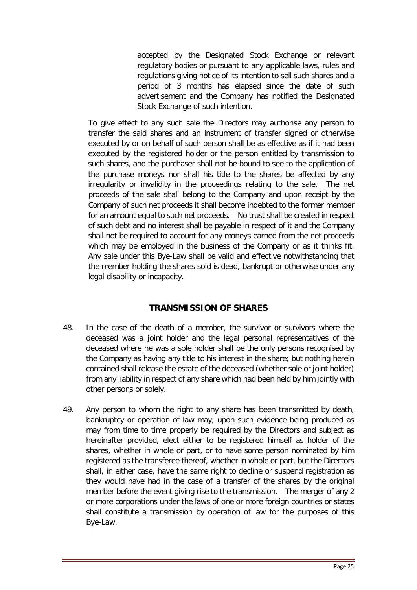accepted by the Designated Stock Exchange or relevant regulatory bodies or pursuant to any applicable laws, rules and regulations giving notice of its intention to sell such shares and a period of 3 months has elapsed since the date of such advertisement and the Company has notified the Designated Stock Exchange of such intention.

To give effect to any such sale the Directors may authorise any person to transfer the said shares and an instrument of transfer signed or otherwise executed by or on behalf of such person shall be as effective as if it had been executed by the registered holder or the person entitled by transmission to such shares, and the purchaser shall not be bound to see to the application of the purchase moneys nor shall his title to the shares be affected by any irregularity or invalidity in the proceedings relating to the sale. The net proceeds of the sale shall belong to the Company and upon receipt by the Company of such net proceeds it shall become indebted to the former member for an amount equal to such net proceeds. No trust shall be created in respect of such debt and no interest shall be payable in respect of it and the Company shall not be required to account for any moneys earned from the net proceeds which may be employed in the business of the Company or as it thinks fit. Any sale under this Bye-Law shall be valid and effective notwithstanding that the member holding the shares sold is dead, bankrupt or otherwise under any legal disability or incapacity.

# **TRANSMISSION OF SHARES**

- <span id="page-25-0"></span>48. In the case of the death of a member, the survivor or survivors where the deceased was a joint holder and the legal personal representatives of the deceased where he was a sole holder shall be the only persons recognised by the Company as having any title to his interest in the share; but nothing herein contained shall release the estate of the deceased (whether sole or joint holder) from any liability in respect of any share which had been held by him jointly with other persons or solely.
- 49. Any person to whom the right to any share has been transmitted by death, bankruptcy or operation of law may, upon such evidence being produced as may from time to time properly be required by the Directors and subject as hereinafter provided, elect either to be registered himself as holder of the shares, whether in whole or part, or to have some person nominated by him registered as the transferee thereof, whether in whole or part, but the Directors shall, in either case, have the same right to decline or suspend registration as they would have had in the case of a transfer of the shares by the original member before the event giving rise to the transmission. The merger of any 2 or more corporations under the laws of one or more foreign countries or states shall constitute a transmission by operation of law for the purposes of this Bye-Law.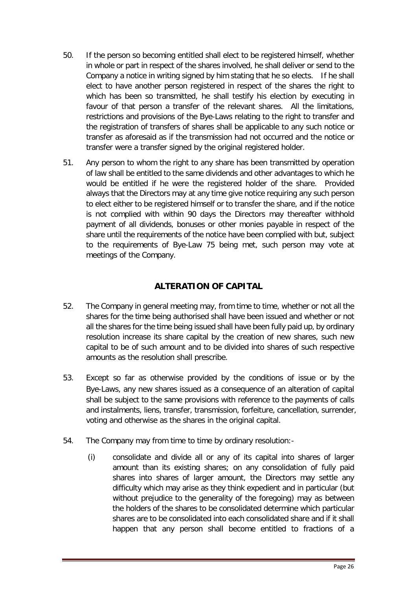- 50. If the person so becoming entitled shall elect to be registered himself, whether in whole or part in respect of the shares involved, he shall deliver or send to the Company a notice in writing signed by him stating that he so elects. If he shall elect to have another person registered in respect of the shares the right to which has been so transmitted, he shall testify his election by executing in favour of that person a transfer of the relevant shares. All the limitations, restrictions and provisions of the Bye-Laws relating to the right to transfer and the registration of transfers of shares shall be applicable to any such notice or transfer as aforesaid as if the transmission had not occurred and the notice or transfer were a transfer signed by the original registered holder.
- 51. Any person to whom the right to any share has been transmitted by operation of law shall be entitled to the same dividends and other advantages to which he would be entitled if he were the registered holder of the share. Provided always that the Directors may at any time give notice requiring any such person to elect either to be registered himself or to transfer the share, and if the notice is not complied with within 90 days the Directors may thereafter withhold payment of all dividends, bonuses or other monies payable in respect of the share until the requirements of the notice have been complied with but, subject to the requirements of Bye-Law 75 being met, such person may vote at meetings of the Company.

# **ALTERATION OF CAPITAL**

- <span id="page-26-0"></span>52. The Company in general meeting may, from time to time, whether or not all the shares for the time being authorised shall have been issued and whether or not all the shares for the time being issued shall have been fully paid up, by ordinary resolution increase its share capital by the creation of new shares, such new capital to be of such amount and to be divided into shares of such respective amounts as the resolution shall prescribe.
- 53. Except so far as otherwise provided by the conditions of issue or by the Bye-Laws, any new shares issued as a consequence of an alteration of capital shall be subject to the same provisions with reference to the payments of calls and instalments, liens, transfer, transmission, forfeiture, cancellation, surrender, voting and otherwise as the shares in the original capital.
- 54. The Company may from time to time by ordinary resolution:-
	- (i) consolidate and divide all or any of its capital into shares of larger amount than its existing shares; on any consolidation of fully paid shares into shares of larger amount, the Directors may settle any difficulty which may arise as they think expedient and in particular (but without prejudice to the generality of the foregoing) may as between the holders of the shares to be consolidated determine which particular shares are to be consolidated into each consolidated share and if it shall happen that any person shall become entitled to fractions of a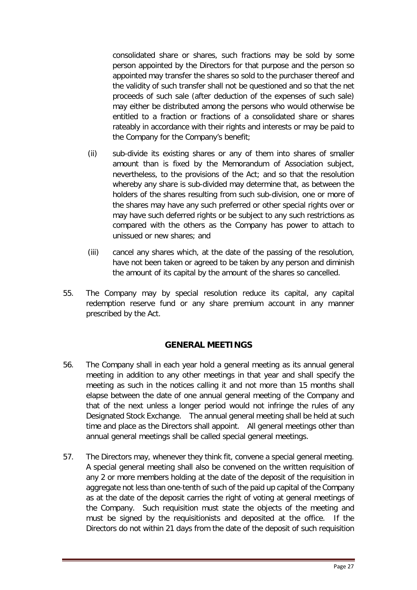consolidated share or shares, such fractions may be sold by some person appointed by the Directors for that purpose and the person so appointed may transfer the shares so sold to the purchaser thereof and the validity of such transfer shall not be questioned and so that the net proceeds of such sale (after deduction of the expenses of such sale) may either be distributed among the persons who would otherwise be entitled to a fraction or fractions of a consolidated share or shares rateably in accordance with their rights and interests or may be paid to the Company for the Company's benefit;

- (ii) sub-divide its existing shares or any of them into shares of smaller amount than is fixed by the Memorandum of Association subject, nevertheless, to the provisions of the Act; and so that the resolution whereby any share is sub-divided may determine that, as between the holders of the shares resulting from such sub-division, one or more of the shares may have any such preferred or other special rights over or may have such deferred rights or be subject to any such restrictions as compared with the others as the Company has power to attach to unissued or new shares; and
- (iii) cancel any shares which, at the date of the passing of the resolution, have not been taken or agreed to be taken by any person and diminish the amount of its capital by the amount of the shares so cancelled.
- 55. The Company may by special resolution reduce its capital, any capital redemption reserve fund or any share premium account in any manner prescribed by the Act.

## **GENERAL MEETINGS**

- <span id="page-27-0"></span>56. The Company shall in each year hold a general meeting as its annual general meeting in addition to any other meetings in that year and shall specify the meeting as such in the notices calling it and not more than 15 months shall elapse between the date of one annual general meeting of the Company and that of the next unless a longer period would not infringe the rules of any Designated Stock Exchange. The annual general meeting shall be held at such time and place as the Directors shall appoint. All general meetings other than annual general meetings shall be called special general meetings.
- 57. The Directors may, whenever they think fit, convene a special general meeting. A special general meeting shall also be convened on the written requisition of any 2 or more members holding at the date of the deposit of the requisition in aggregate not less than one-tenth of such of the paid up capital of the Company as at the date of the deposit carries the right of voting at general meetings of the Company. Such requisition must state the objects of the meeting and must be signed by the requisitionists and deposited at the office. If the Directors do not within 21 days from the date of the deposit of such requisition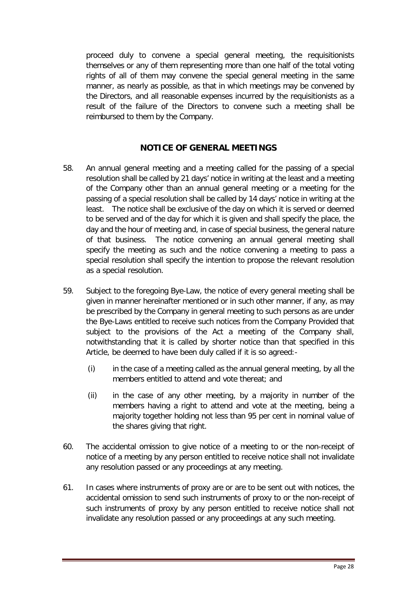proceed duly to convene a special general meeting, the requisitionists themselves or any of them representing more than one half of the total voting rights of all of them may convene the special general meeting in the same manner, as nearly as possible, as that in which meetings may be convened by the Directors, and all reasonable expenses incurred by the requisitionists as a result of the failure of the Directors to convene such a meeting shall be reimbursed to them by the Company.

## **NOTICE OF GENERAL MEETINGS**

- <span id="page-28-0"></span>58. An annual general meeting and a meeting called for the passing of a special resolution shall be called by 21 days' notice in writing at the least and a meeting of the Company other than an annual general meeting or a meeting for the passing of a special resolution shall be called by 14 days' notice in writing at the least. The notice shall be exclusive of the day on which it is served or deemed to be served and of the day for which it is given and shall specify the place, the day and the hour of meeting and, in case of special business, the general nature of that business. The notice convening an annual general meeting shall specify the meeting as such and the notice convening a meeting to pass a special resolution shall specify the intention to propose the relevant resolution as a special resolution.
- 59. Subject to the foregoing Bye-Law, the notice of every general meeting shall be given in manner hereinafter mentioned or in such other manner, if any, as may be prescribed by the Company in general meeting to such persons as are under the Bye-Laws entitled to receive such notices from the Company Provided that subject to the provisions of the Act a meeting of the Company shall, notwithstanding that it is called by shorter notice than that specified in this Article, be deemed to have been duly called if it is so agreed:-
	- (i) in the case of a meeting called as the annual general meeting, by all the members entitled to attend and vote thereat; and
	- (ii) in the case of any other meeting, by a majority in number of the members having a right to attend and vote at the meeting, being a majority together holding not less than 95 per cent in nominal value of the shares giving that right.
- 60. The accidental omission to give notice of a meeting to or the non-receipt of notice of a meeting by any person entitled to receive notice shall not invalidate any resolution passed or any proceedings at any meeting.
- 61. In cases where instruments of proxy are or are to be sent out with notices, the accidental omission to send such instruments of proxy to or the non-receipt of such instruments of proxy by any person entitled to receive notice shall not invalidate any resolution passed or any proceedings at any such meeting.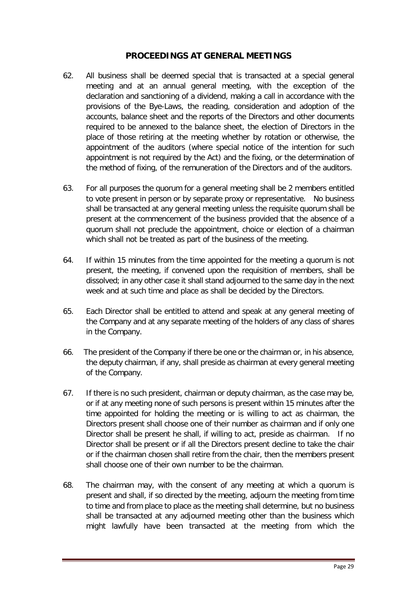## **PROCEEDINGS AT GENERAL MEETINGS**

- <span id="page-29-0"></span>62. All business shall be deemed special that is transacted at a special general meeting and at an annual general meeting, with the exception of the declaration and sanctioning of a dividend, making a call in accordance with the provisions of the Bye-Laws, the reading, consideration and adoption of the accounts, balance sheet and the reports of the Directors and other documents required to be annexed to the balance sheet, the election of Directors in the place of those retiring at the meeting whether by rotation or otherwise, the appointment of the auditors (where special notice of the intention for such appointment is not required by the Act) and the fixing, or the determination of the method of fixing, of the remuneration of the Directors and of the auditors.
- 63. For all purposes the quorum for a general meeting shall be 2 members entitled to vote present in person or by separate proxy or representative. No business shall be transacted at any general meeting unless the requisite quorum shall be present at the commencement of the business provided that the absence of a quorum shall not preclude the appointment, choice or election of a chairman which shall not be treated as part of the business of the meeting.
- 64. If within 15 minutes from the time appointed for the meeting a quorum is not present, the meeting, if convened upon the requisition of members, shall be dissolved; in any other case it shall stand adjourned to the same day in the next week and at such time and place as shall be decided by the Directors.
- 65. Each Director shall be entitled to attend and speak at any general meeting of the Company and at any separate meeting of the holders of any class of shares in the Company.
- 66. The president of the Company if there be one or the chairman or, in his absence, the deputy chairman, if any, shall preside as chairman at every general meeting of the Company.
- 67. If there is no such president, chairman or deputy chairman, as the case may be, or if at any meeting none of such persons is present within 15 minutes after the time appointed for holding the meeting or is willing to act as chairman, the Directors present shall choose one of their number as chairman and if only one Director shall be present he shall, if willing to act, preside as chairman. If no Director shall be present or if all the Directors present decline to take the chair or if the chairman chosen shall retire from the chair, then the members present shall choose one of their own number to be the chairman.
- 68. The chairman may, with the consent of any meeting at which a quorum is present and shall, if so directed by the meeting, adjourn the meeting from time to time and from place to place as the meeting shall determine, but no business shall be transacted at any adjourned meeting other than the business which might lawfully have been transacted at the meeting from which the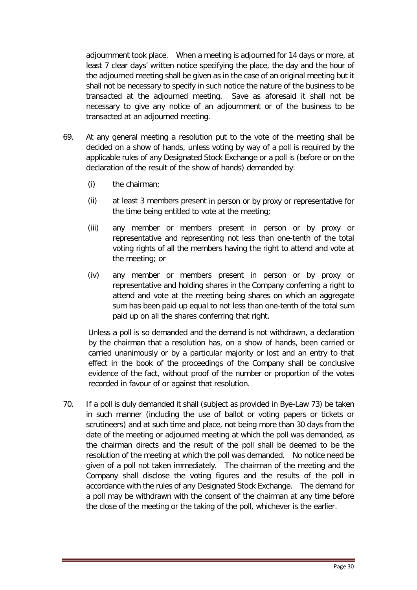adjournment took place. When a meeting is adjourned for 14 days or more, at least 7 clear days' written notice specifying the place, the day and the hour of the adjourned meeting shall be given as in the case of an original meeting but it shall not be necessary to specify in such notice the nature of the business to be transacted at the adjourned meeting. Save as aforesaid it shall not be necessary to give any notice of an adjournment or of the business to be transacted at an adjourned meeting.

- 69. At any general meeting a resolution put to the vote of the meeting shall be decided on a show of hands, unless voting by way of a poll is required by the applicable rules of any Designated Stock Exchange or a poll is (before or on the declaration of the result of the show of hands) demanded by:
	- (i) the chairman;
	- (ii) at least 3 members present in person or by proxy or representative for the time being entitled to vote at the meeting;
	- (iii) any member or members present in person or by proxy or representative and representing not less than one-tenth of the total voting rights of all the members having the right to attend and vote at the meeting; or
	- (iv) any member or members present in person or by proxy or representative and holding shares in the Company conferring a right to attend and vote at the meeting being shares on which an aggregate sum has been paid up equal to not less than one-tenth of the total sum paid up on all the shares conferring that right.

Unless a poll is so demanded and the demand is not withdrawn, a declaration by the chairman that a resolution has, on a show of hands, been carried or carried unanimously or by a particular majority or lost and an entry to that effect in the book of the proceedings of the Company shall be conclusive evidence of the fact, without proof of the number or proportion of the votes recorded in favour of or against that resolution.

70. If a poll is duly demanded it shall (subject as provided in Bye-Law 73) be taken in such manner (including the use of ballot or voting papers or tickets or scrutineers) and at such time and place, not being more than 30 days from the date of the meeting or adjourned meeting at which the poll was demanded, as the chairman directs and the result of the poll shall be deemed to be the resolution of the meeting at which the poll was demanded. No notice need be given of a poll not taken immediately. The chairman of the meeting and the Company shall disclose the voting figures and the results of the poll in accordance with the rules of any Designated Stock Exchange. The demand for a poll may be withdrawn with the consent of the chairman at any time before the close of the meeting or the taking of the poll, whichever is the earlier.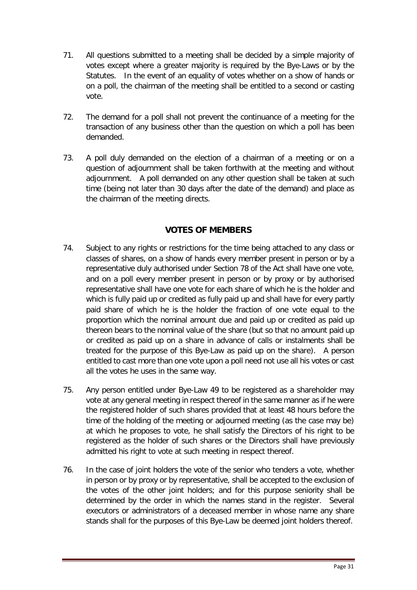- 71. All questions submitted to a meeting shall be decided by a simple majority of votes except where a greater majority is required by the Bye-Laws or by the Statutes. In the event of an equality of votes whether on a show of hands or on a poll, the chairman of the meeting shall be entitled to a second or casting vote.
- 72. The demand for a poll shall not prevent the continuance of a meeting for the transaction of any business other than the question on which a poll has been demanded.
- 73. A poll duly demanded on the election of a chairman of a meeting or on a question of adjournment shall be taken forthwith at the meeting and without adjournment. A poll demanded on any other question shall be taken at such time (being not later than 30 days after the date of the demand) and place as the chairman of the meeting directs.

## **VOTES OF MEMBERS**

- <span id="page-31-0"></span>74. Subject to any rights or restrictions for the time being attached to any class or classes of shares, on a show of hands every member present in person or by a representative duly authorised under Section 78 of the Act shall have one vote, and on a poll every member present in person or by proxy or by authorised representative shall have one vote for each share of which he is the holder and which is fully paid up or credited as fully paid up and shall have for every partly paid share of which he is the holder the fraction of one vote equal to the proportion which the nominal amount due and paid up or credited as paid up thereon bears to the nominal value of the share (but so that no amount paid up or credited as paid up on a share in advance of calls or instalments shall be treated for the purpose of this Bye-Law as paid up on the share). A person entitled to cast more than one vote upon a poll need not use all his votes or cast all the votes he uses in the same way.
- 75. Any person entitled under Bye-Law 49 to be registered as a shareholder may vote at any general meeting in respect thereof in the same manner as if he were the registered holder of such shares provided that at least 48 hours before the time of the holding of the meeting or adjourned meeting (as the case may be) at which he proposes to vote, he shall satisfy the Directors of his right to be registered as the holder of such shares or the Directors shall have previously admitted his right to vote at such meeting in respect thereof.
- 76. In the case of joint holders the vote of the senior who tenders a vote, whether in person or by proxy or by representative, shall be accepted to the exclusion of the votes of the other joint holders; and for this purpose seniority shall be determined by the order in which the names stand in the register. Several executors or administrators of a deceased member in whose name any share stands shall for the purposes of this Bye-Law be deemed joint holders thereof.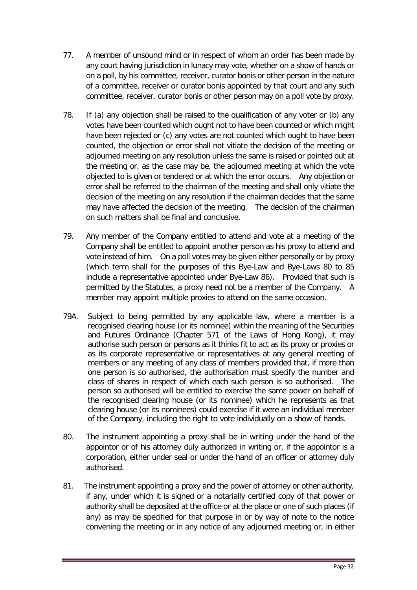- 77. A member of unsound mind or in respect of whom an order has been made by any court having jurisdiction in lunacy may vote, whether on a show of hands or on a poll, by his committee, receiver, curator bonis or other person in the nature of a committee, receiver or curator bonis appointed by that court and any such committee, receiver, curator bonis or other person may on a poll vote by proxy.
- 78. If (a) any objection shall be raised to the qualification of any voter or (b) any votes have been counted which ought not to have been counted or which might have been rejected or (c) any votes are not counted which ought to have been counted, the objection or error shall not vitiate the decision of the meeting or adjourned meeting on any resolution unless the same is raised or pointed out at the meeting or, as the case may be, the adjourned meeting at which the vote objected to is given or tendered or at which the error occurs. Any objection or error shall be referred to the chairman of the meeting and shall only vitiate the decision of the meeting on any resolution if the chairman decides that the same may have affected the decision of the meeting. The decision of the chairman on such matters shall be final and conclusive.
- 79. Any member of the Company entitled to attend and vote at a meeting of the Company shall be entitled to appoint another person as his proxy to attend and vote instead of him. On a poll votes may be given either personally or by proxy (which term shall for the purposes of this Bye-Law and Bye-Laws 80 to 85 include a representative appointed under Bye-Law 86). Provided that such is permitted by the Statutes, a proxy need not be a member of the Company. A member may appoint multiple proxies to attend on the same occasion.
- 79A. Subject to being permitted by any applicable law, where a member is a recognised clearing house (or its nominee) within the meaning of the Securities and Futures Ordinance (Chapter 571 of the Laws of Hong Kong), it may authorise such person or persons as it thinks fit to act as its proxy or proxies or as its corporate representative or representatives at any general meeting of members or any meeting of any class of members provided that, if more than one person is so authorised, the authorisation must specify the number and class of shares in respect of which each such person is so authorised. The person so authorised will be entitled to exercise the same power on behalf of the recognised clearing house (or its nominee) which he represents as that clearing house (or its nominees) could exercise if it were an individual member of the Company, including the right to vote individually on a show of hands.
- 80. The instrument appointing a proxy shall be in writing under the hand of the appointor or of his attorney duly authorized in writing or, if the appointor is a corporation, either under seal or under the hand of an officer or attorney duly authorised.
- 81. The instrument appointing a proxy and the power of attorney or other authority, if any, under which it is signed or a notarially certified copy of that power or authority shall be deposited at the office or at the place or one of such places (if any) as may be specified for that purpose in or by way of note to the notice convening the meeting or in any notice of any adjourned meeting or, in either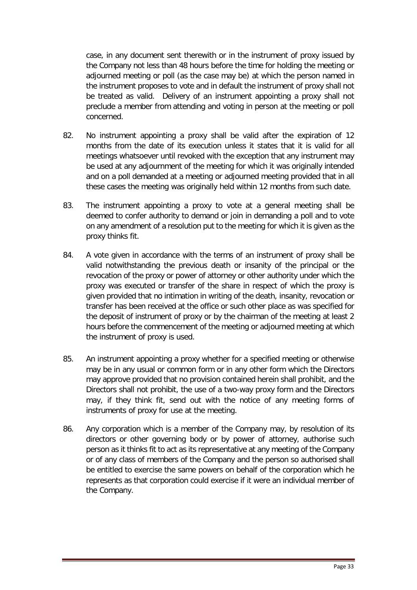case, in any document sent therewith or in the instrument of proxy issued by the Company not less than 48 hours before the time for holding the meeting or adjourned meeting or poll (as the case may be) at which the person named in the instrument proposes to vote and in default the instrument of proxy shall not be treated as valid. Delivery of an instrument appointing a proxy shall not preclude a member from attending and voting in person at the meeting or poll concerned.

- 82. No instrument appointing a proxy shall be valid after the expiration of 12 months from the date of its execution unless it states that it is valid for all meetings whatsoever until revoked with the exception that any instrument may be used at any adjournment of the meeting for which it was originally intended and on a poll demanded at a meeting or adjourned meeting provided that in all these cases the meeting was originally held within 12 months from such date.
- 83. The instrument appointing a proxy to vote at a general meeting shall be deemed to confer authority to demand or join in demanding a poll and to vote on any amendment of a resolution put to the meeting for which it is given as the proxy thinks fit.
- 84. A vote given in accordance with the terms of an instrument of proxy shall be valid notwithstanding the previous death or insanity of the principal or the revocation of the proxy or power of attorney or other authority under which the proxy was executed or transfer of the share in respect of which the proxy is given provided that no intimation in writing of the death, insanity, revocation or transfer has been received at the office or such other place as was specified for the deposit of instrument of proxy or by the chairman of the meeting at least 2 hours before the commencement of the meeting or adjourned meeting at which the instrument of proxy is used.
- 85. An instrument appointing a proxy whether for a specified meeting or otherwise may be in any usual or common form or in any other form which the Directors may approve provided that no provision contained herein shall prohibit, and the Directors shall not prohibit, the use of a two-way proxy form and the Directors may, if they think fit, send out with the notice of any meeting forms of instruments of proxy for use at the meeting.
- 86. Any corporation which is a member of the Company may, by resolution of its directors or other governing body or by power of attorney, authorise such person as it thinks fit to act as its representative at any meeting of the Company or of any class of members of the Company and the person so authorised shall be entitled to exercise the same powers on behalf of the corporation which he represents as that corporation could exercise if it were an individual member of the Company.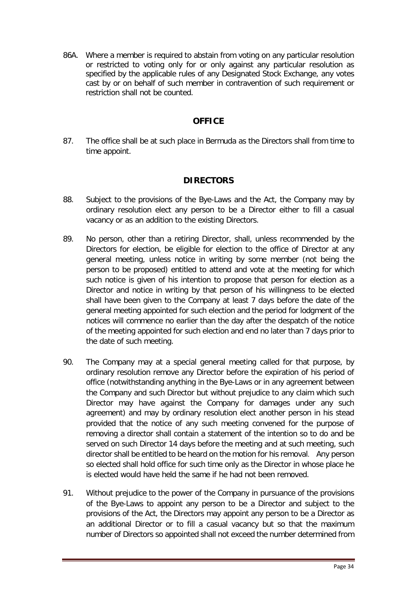86A. Where a member is required to abstain from voting on any particular resolution or restricted to voting only for or only against any particular resolution as specified by the applicable rules of any Designated Stock Exchange, any votes cast by or on behalf of such member in contravention of such requirement or restriction shall not be counted.

## **OFFICE**

<span id="page-34-0"></span>87. The office shall be at such place in Bermuda as the Directors shall from time to time appoint.

## **DIRECTORS**

- <span id="page-34-1"></span>88. Subject to the provisions of the Bye-Laws and the Act, the Company may by ordinary resolution elect any person to be a Director either to fill a casual vacancy or as an addition to the existing Directors.
- 89. No person, other than a retiring Director, shall, unless recommended by the Directors for election, be eligible for election to the office of Director at any general meeting, unless notice in writing by some member (not being the person to be proposed) entitled to attend and vote at the meeting for which such notice is given of his intention to propose that person for election as a Director and notice in writing by that person of his willingness to be elected shall have been given to the Company at least 7 days before the date of the general meeting appointed for such election and the period for lodgment of the notices will commence no earlier than the day after the despatch of the notice of the meeting appointed for such election and end no later than 7 days prior to the date of such meeting.
- 90. The Company may at a special general meeting called for that purpose, by ordinary resolution remove any Director before the expiration of his period of office (notwithstanding anything in the Bye-Laws or in any agreement between the Company and such Director but without prejudice to any claim which such Director may have against the Company for damages under any such agreement) and may by ordinary resolution elect another person in his stead provided that the notice of any such meeting convened for the purpose of removing a director shall contain a statement of the intention so to do and be served on such Director 14 days before the meeting and at such meeting, such director shall be entitled to be heard on the motion for his removal. Any person so elected shall hold office for such time only as the Director in whose place he is elected would have held the same if he had not been removed.
- 91. Without prejudice to the power of the Company in pursuance of the provisions of the Bye-Laws to appoint any person to be a Director and subject to the provisions of the Act, the Directors may appoint any person to be a Director as an additional Director or to fill a casual vacancy but so that the maximum number of Directors so appointed shall not exceed the number determined from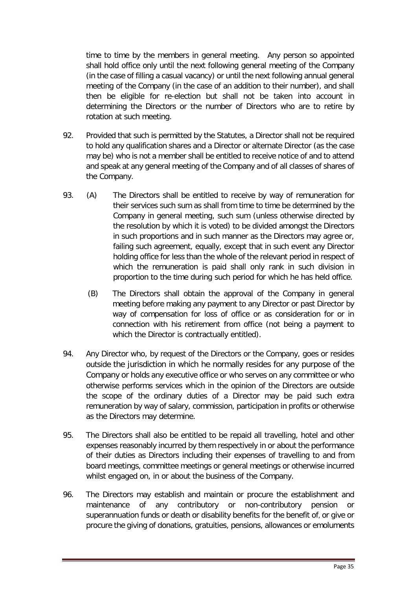time to time by the members in general meeting. Any person so appointed shall hold office only until the next following general meeting of the Company (in the case of filling a casual vacancy) or until the next following annual general meeting of the Company (in the case of an addition to their number), and shall then be eligible for re-election but shall not be taken into account in determining the Directors or the number of Directors who are to retire by rotation at such meeting.

- 92. Provided that such is permitted by the Statutes, a Director shall not be required to hold any qualification shares and a Director or alternate Director (as the case may be) who is not a member shall be entitled to receive notice of and to attend and speak at any general meeting of the Company and of all classes of shares of the Company.
- 93. (A) The Directors shall be entitled to receive by way of remuneration for their services such sum as shall from time to time be determined by the Company in general meeting, such sum (unless otherwise directed by the resolution by which it is voted) to be divided amongst the Directors in such proportions and in such manner as the Directors may agree or, failing such agreement, equally, except that in such event any Director holding office for less than the whole of the relevant period in respect of which the remuneration is paid shall only rank in such division in proportion to the time during such period for which he has held office.
	- (B) The Directors shall obtain the approval of the Company in general meeting before making any payment to any Director or past Director by way of compensation for loss of office or as consideration for or in connection with his retirement from office (not being a payment to which the Director is contractually entitled).
- 94. Any Director who, by request of the Directors or the Company, goes or resides outside the jurisdiction in which he normally resides for any purpose of the Company or holds any executive office or who serves on any committee or who otherwise performs services which in the opinion of the Directors are outside the scope of the ordinary duties of a Director may be paid such extra remuneration by way of salary, commission, participation in profits or otherwise as the Directors may determine.
- 95. The Directors shall also be entitled to be repaid all travelling, hotel and other expenses reasonably incurred by them respectively in or about the performance of their duties as Directors including their expenses of travelling to and from board meetings, committee meetings or general meetings or otherwise incurred whilst engaged on, in or about the business of the Company.
- 96. The Directors may establish and maintain or procure the establishment and maintenance of any contributory or non-contributory pension or superannuation funds or death or disability benefits for the benefit of, or give or procure the giving of donations, gratuities, pensions, allowances or emoluments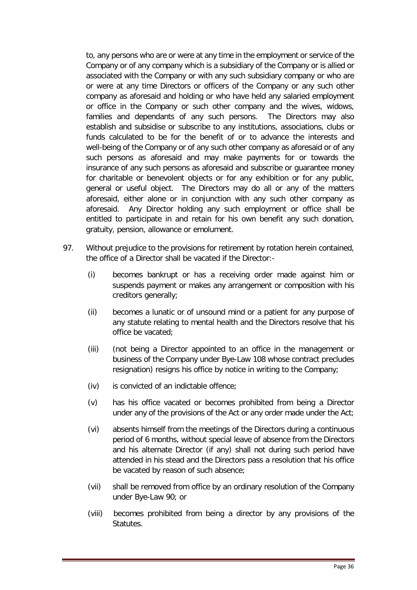to, any persons who are or were at any time in the employment or service of the Company or of any company which is a subsidiary of the Company or is allied or associated with the Company or with any such subsidiary company or who are or were at any time Directors or officers of the Company or any such other company as aforesaid and holding or who have held any salaried employment or office in the Company or such other company and the wives, widows, families and dependants of any such persons. The Directors may also establish and subsidise or subscribe to any institutions, associations, clubs or funds calculated to be for the benefit of or to advance the interests and well-being of the Company or of any such other company as aforesaid or of any such persons as aforesaid and may make payments for or towards the insurance of any such persons as aforesaid and subscribe or guarantee money for charitable or benevolent objects or for any exhibition or for any public, general or useful object. The Directors may do all or any of the matters aforesaid, either alone or in conjunction with any such other company as aforesaid. Any Director holding any such employment or office shall be entitled to participate in and retain for his own benefit any such donation, gratuity, pension, allowance or emolument.

- 97. Without prejudice to the provisions for retirement by rotation herein contained, the office of a Director shall be vacated if the Director:-
	- (i) becomes bankrupt or has a receiving order made against him or suspends payment or makes any arrangement or composition with his creditors generally;
	- (ii) becomes a lunatic or of unsound mind or a patient for any purpose of any statute relating to mental health and the Directors resolve that his office be vacated;
	- (iii) (not being a Director appointed to an office in the management or business of the Company under Bye-Law 108 whose contract precludes resignation) resigns his office by notice in writing to the Company;
	- (iv) is convicted of an indictable offence;
	- (v) has his office vacated or becomes prohibited from being a Director under any of the provisions of the Act or any order made under the Act;
	- (vi) absents himself from the meetings of the Directors during a continuous period of 6 months, without special leave of absence from the Directors and his alternate Director (if any) shall not during such period have attended in his stead and the Directors pass a resolution that his office be vacated by reason of such absence;
	- (vii) shall be removed from office by an ordinary resolution of the Company under Bye-Law 90; or
	- (viii) becomes prohibited from being a director by any provisions of the Statutes.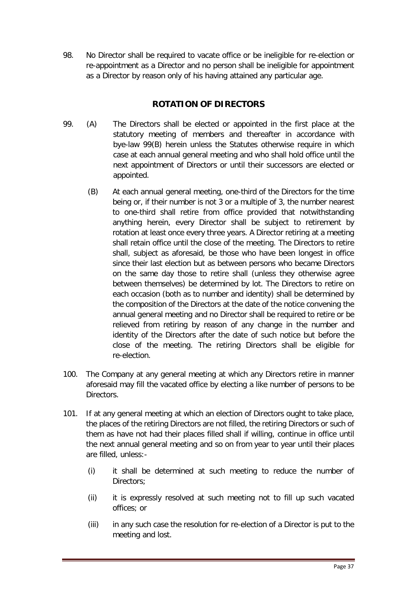98. No Director shall be required to vacate office or be ineligible for re-election or re-appointment as a Director and no person shall be ineligible for appointment as a Director by reason only of his having attained any particular age.

# **ROTATION OF DIRECTORS**

- <span id="page-37-0"></span>99. (A) The Directors shall be elected or appointed in the first place at the statutory meeting of members and thereafter in accordance with bye-law 99(B) herein unless the Statutes otherwise require in which case at each annual general meeting and who shall hold office until the next appointment of Directors or until their successors are elected or appointed.
	- (B) At each annual general meeting, one-third of the Directors for the time being or, if their number is not 3 or a multiple of 3, the number nearest to one-third shall retire from office provided that notwithstanding anything herein, every Director shall be subject to retirement by rotation at least once every three years. A Director retiring at a meeting shall retain office until the close of the meeting. The Directors to retire shall, subject as aforesaid, be those who have been longest in office since their last election but as between persons who became Directors on the same day those to retire shall (unless they otherwise agree between themselves) be determined by lot. The Directors to retire on each occasion (both as to number and identity) shall be determined by the composition of the Directors at the date of the notice convening the annual general meeting and no Director shall be required to retire or be relieved from retiring by reason of any change in the number and identity of the Directors after the date of such notice but before the close of the meeting. The retiring Directors shall be eligible for re-election.
- 100. The Company at any general meeting at which any Directors retire in manner aforesaid may fill the vacated office by electing a like number of persons to be Directors.
- 101. If at any general meeting at which an election of Directors ought to take place, the places of the retiring Directors are not filled, the retiring Directors or such of them as have not had their places filled shall if willing, continue in office until the next annual general meeting and so on from year to year until their places are filled, unless:-
	- (i) it shall be determined at such meeting to reduce the number of Directors:
	- (ii) it is expressly resolved at such meeting not to fill up such vacated offices; or
	- (iii) in any such case the resolution for re-election of a Director is put to the meeting and lost.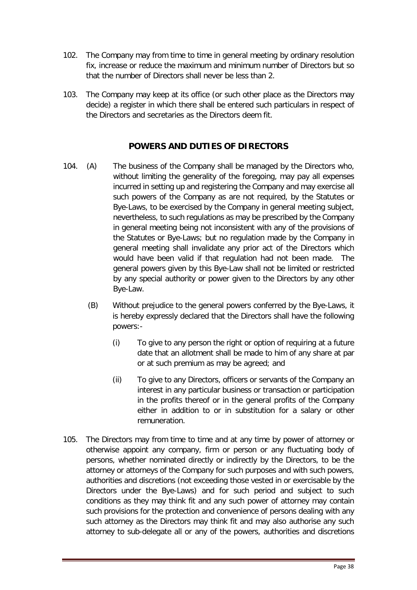- 102. The Company may from time to time in general meeting by ordinary resolution fix, increase or reduce the maximum and minimum number of Directors but so that the number of Directors shall never be less than 2.
- 103. The Company may keep at its office (or such other place as the Directors may decide) a register in which there shall be entered such particulars in respect of the Directors and secretaries as the Directors deem fit.

## **POWERS AND DUTIES OF DIRECTORS**

- <span id="page-38-0"></span>104. (A) The business of the Company shall be managed by the Directors who, without limiting the generality of the foregoing, may pay all expenses incurred in setting up and registering the Company and may exercise all such powers of the Company as are not required, by the Statutes or Bye-Laws, to be exercised by the Company in general meeting subject, nevertheless, to such regulations as may be prescribed by the Company in general meeting being not inconsistent with any of the provisions of the Statutes or Bye-Laws; but no regulation made by the Company in general meeting shall invalidate any prior act of the Directors which would have been valid if that regulation had not been made. The general powers given by this Bye-Law shall not be limited or restricted by any special authority or power given to the Directors by any other Bye-Law.
	- (B) Without prejudice to the general powers conferred by the Bye-Laws, it is hereby expressly declared that the Directors shall have the following powers:-
		- (i) To give to any person the right or option of requiring at a future date that an allotment shall be made to him of any share at par or at such premium as may be agreed; and
		- (ii) To give to any Directors, officers or servants of the Company an interest in any particular business or transaction or participation in the profits thereof or in the general profits of the Company either in addition to or in substitution for a salary or other remuneration.
- 105. The Directors may from time to time and at any time by power of attorney or otherwise appoint any company, firm or person or any fluctuating body of persons, whether nominated directly or indirectly by the Directors, to be the attorney or attorneys of the Company for such purposes and with such powers, authorities and discretions (not exceeding those vested in or exercisable by the Directors under the Bye-Laws) and for such period and subject to such conditions as they may think fit and any such power of attorney may contain such provisions for the protection and convenience of persons dealing with any such attorney as the Directors may think fit and may also authorise any such attorney to sub-delegate all or any of the powers, authorities and discretions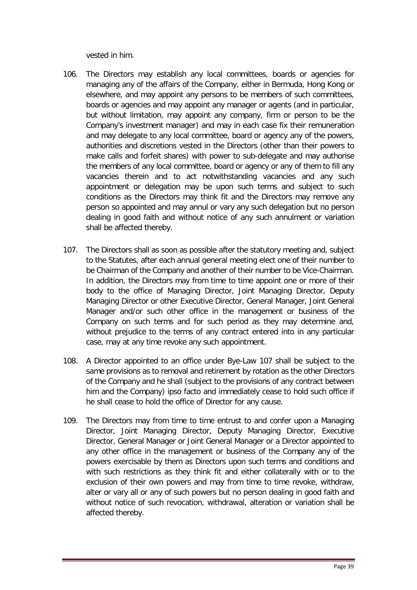vested in him.

- 106. The Directors may establish any local committees, boards or agencies for managing any of the affairs of the Company, either in Bermuda, Hong Kong or elsewhere, and may appoint any persons to be members of such committees, boards or agencies and may appoint any manager or agents (and in particular, but without limitation, may appoint any company, firm or person to be the Company's investment manager) and may in each case fix their remuneration and may delegate to any local committee, board or agency any of the powers, authorities and discretions vested in the Directors (other than their powers to make calls and forfeit shares) with power to sub-delegate and may authorise the members of any local committee, board or agency or any of them to fill any vacancies therein and to act notwithstanding vacancies and any such appointment or delegation may be upon such terms and subject to such conditions as the Directors may think fit and the Directors may remove any person so appointed and may annul or vary any such delegation but no person dealing in good faith and without notice of any such annulment or variation shall be affected thereby.
- 107. The Directors shall as soon as possible after the statutory meeting and, subject to the Statutes, after each annual general meeting elect one of their number to be Chairman of the Company and another of their number to be Vice-Chairman. In addition, the Directors may from time to time appoint one or more of their body to the office of Managing Director, Joint Managing Director, Deputy Managing Director or other Executive Director, General Manager, Joint General Manager and/or such other office in the management or business of the Company on such terms and for such period as they may determine and, without prejudice to the terms of any contract entered into in any particular case, may at any time revoke any such appointment.
- 108. A Director appointed to an office under Bye-Law 107 shall be subject to the same provisions as to removal and retirement by rotation as the other Directors of the Company and he shall (subject to the provisions of any contract between him and the Company) ipso facto and immediately cease to hold such office if he shall cease to hold the office of Director for any cause.
- 109. The Directors may from time to time entrust to and confer upon a Managing Director, Joint Managing Director, Deputy Managing Director, Executive Director, General Manager or Joint General Manager or a Director appointed to any other office in the management or business of the Company any of the powers exercisable by them as Directors upon such terms and conditions and with such restrictions as they think fit and either collaterally with or to the exclusion of their own powers and may from time to time revoke, withdraw, alter or vary all or any of such powers but no person dealing in good faith and without notice of such revocation, withdrawal, alteration or variation shall be affected thereby.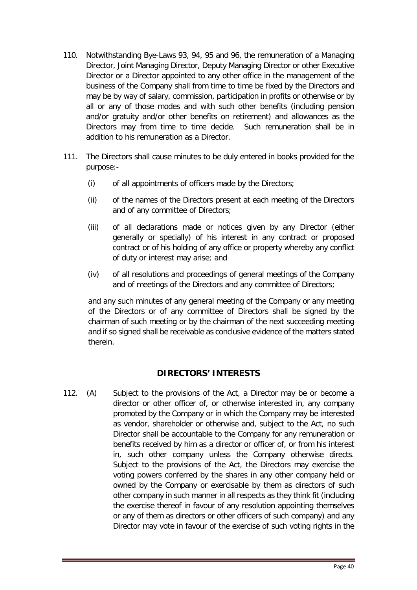- 110. Notwithstanding Bye-Laws 93, 94, 95 and 96, the remuneration of a Managing Director, Joint Managing Director, Deputy Managing Director or other Executive Director or a Director appointed to any other office in the management of the business of the Company shall from time to time be fixed by the Directors and may be by way of salary, commission, participation in profits or otherwise or by all or any of those modes and with such other benefits (including pension and/or gratuity and/or other benefits on retirement) and allowances as the Directors may from time to time decide. Such remuneration shall be in addition to his remuneration as a Director.
- 111. The Directors shall cause minutes to be duly entered in books provided for the purpose:-
	- (i) of all appointments of officers made by the Directors;
	- (ii) of the names of the Directors present at each meeting of the Directors and of any committee of Directors;
	- (iii) of all declarations made or notices given by any Director (either generally or specially) of his interest in any contract or proposed contract or of his holding of any office or property whereby any conflict of duty or interest may arise; and
	- (iv) of all resolutions and proceedings of general meetings of the Company and of meetings of the Directors and any committee of Directors;

and any such minutes of any general meeting of the Company or any meeting of the Directors or of any committee of Directors shall be signed by the chairman of such meeting or by the chairman of the next succeeding meeting and if so signed shall be receivable as conclusive evidence of the matters stated therein.

## **DIRECTORS' INTERESTS**

<span id="page-40-0"></span>112. (A) Subject to the provisions of the Act, a Director may be or become a director or other officer of, or otherwise interested in, any company promoted by the Company or in which the Company may be interested as vendor, shareholder or otherwise and, subject to the Act, no such Director shall be accountable to the Company for any remuneration or benefits received by him as a director or officer of, or from his interest in, such other company unless the Company otherwise directs. Subject to the provisions of the Act, the Directors may exercise the voting powers conferred by the shares in any other company held or owned by the Company or exercisable by them as directors of such other company in such manner in all respects as they think fit (including the exercise thereof in favour of any resolution appointing themselves or any of them as directors or other officers of such company) and any Director may vote in favour of the exercise of such voting rights in the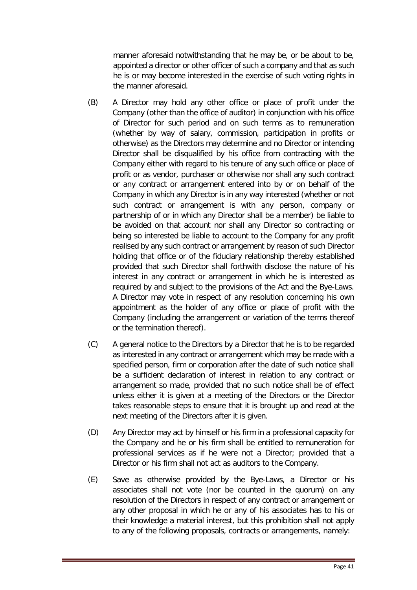manner aforesaid notwithstanding that he may be, or be about to be, appointed a director or other officer of such a company and that as such he is or may become interested in the exercise of such voting rights in the manner aforesaid.

- (B) A Director may hold any other office or place of profit under the Company (other than the office of auditor) in conjunction with his office of Director for such period and on such terms as to remuneration (whether by way of salary, commission, participation in profits or otherwise) as the Directors may determine and no Director or intending Director shall be disqualified by his office from contracting with the Company either with regard to his tenure of any such office or place of profit or as vendor, purchaser or otherwise nor shall any such contract or any contract or arrangement entered into by or on behalf of the Company in which any Director is in any way interested (whether or not such contract or arrangement is with any person, company or partnership of or in which any Director shall be a member) be liable to be avoided on that account nor shall any Director so contracting or being so interested be liable to account to the Company for any profit realised by any such contract or arrangement by reason of such Director holding that office or of the fiduciary relationship thereby established provided that such Director shall forthwith disclose the nature of his interest in any contract or arrangement in which he is interested as required by and subject to the provisions of the Act and the Bye-Laws. A Director may vote in respect of any resolution concerning his own appointment as the holder of any office or place of profit with the Company (including the arrangement or variation of the terms thereof or the termination thereof).
- (C) A general notice to the Directors by a Director that he is to be regarded as interested in any contract or arrangement which may be made with a specified person, firm or corporation after the date of such notice shall be a sufficient declaration of interest in relation to any contract or arrangement so made, provided that no such notice shall be of effect unless either it is given at a meeting of the Directors or the Director takes reasonable steps to ensure that it is brought up and read at the next meeting of the Directors after it is given.
- (D) Any Director may act by himself or his firm in a professional capacity for the Company and he or his firm shall be entitled to remuneration for professional services as if he were not a Director; provided that a Director or his firm shall not act as auditors to the Company.
- (E) Save as otherwise provided by the Bye-Laws, a Director or his associates shall not vote (nor be counted in the quorum) on any resolution of the Directors in respect of any contract or arrangement or any other proposal in which he or any of his associates has to his or their knowledge a material interest, but this prohibition shall not apply to any of the following proposals, contracts or arrangements, namely: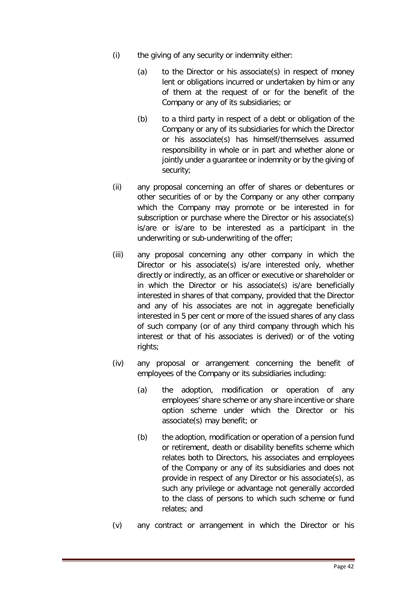- (i) the giving of any security or indemnity either:
	- (a) to the Director or his associate(s) in respect of money lent or obligations incurred or undertaken by him or any of them at the request of or for the benefit of the Company or any of its subsidiaries; or
	- (b) to a third party in respect of a debt or obligation of the Company or any of its subsidiaries for which the Director or his associate(s) has himself/themselves assumed responsibility in whole or in part and whether alone or jointly under a guarantee or indemnity or by the giving of security;
- (ii) any proposal concerning an offer of shares or debentures or other securities of or by the Company or any other company which the Company may promote or be interested in for subscription or purchase where the Director or his associate(s) is/are or is/are to be interested as a participant in the underwriting or sub-underwriting of the offer;
- (iii) any proposal concerning any other company in which the Director or his associate(s) is/are interested only, whether directly or indirectly, as an officer or executive or shareholder or in which the Director or his associate(s) is/are beneficially interested in shares of that company, provided that the Director and any of his associates are not in aggregate beneficially interested in 5 per cent or more of the issued shares of any class of such company (or of any third company through which his interest or that of his associates is derived) or of the voting rights;
- (iv) any proposal or arrangement concerning the benefit of employees of the Company or its subsidiaries including:
	- (a) the adoption, modification or operation of any employees' share scheme or any share incentive or share option scheme under which the Director or his associate(s) may benefit; or
	- (b) the adoption, modification or operation of a pension fund or retirement, death or disability benefits scheme which relates both to Directors, his associates and employees of the Company or any of its subsidiaries and does not provide in respect of any Director or his associate(s), as such any privilege or advantage not generally accorded to the class of persons to which such scheme or fund relates; and
- (v) any contract or arrangement in which the Director or his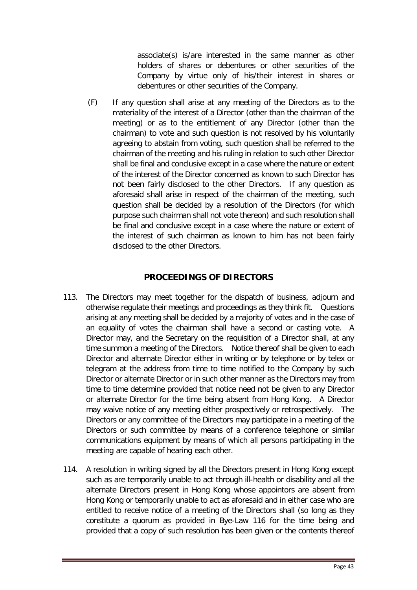associate(s) is/are interested in the same manner as other holders of shares or debentures or other securities of the Company by virtue only of his/their interest in shares or debentures or other securities of the Company.

(F) If any question shall arise at any meeting of the Directors as to the materiality of the interest of a Director (other than the chairman of the meeting) or as to the entitlement of any Director (other than the chairman) to vote and such question is not resolved by his voluntarily agreeing to abstain from voting, such question shall be referred to the chairman of the meeting and his ruling in relation to such other Director shall be final and conclusive except in a case where the nature or extent of the interest of the Director concerned as known to such Director has not been fairly disclosed to the other Directors. If any question as aforesaid shall arise in respect of the chairman of the meeting, such question shall be decided by a resolution of the Directors (for which purpose such chairman shall not vote thereon) and such resolution shall be final and conclusive except in a case where the nature or extent of the interest of such chairman as known to him has not been fairly disclosed to the other Directors.

## **PROCEEDINGS OF DIRECTORS**

- <span id="page-43-0"></span>113. The Directors may meet together for the dispatch of business, adjourn and otherwise regulate their meetings and proceedings as they think fit. Questions arising at any meeting shall be decided by a majority of votes and in the case of an equality of votes the chairman shall have a second or casting vote. A Director may, and the Secretary on the requisition of a Director shall, at any time summon a meeting of the Directors. Notice thereof shall be given to each Director and alternate Director either in writing or by telephone or by telex or telegram at the address from time to time notified to the Company by such Director or alternate Director or in such other manner as the Directors may from time to time determine provided that notice need not be given to any Director or alternate Director for the time being absent from Hong Kong. A Director may waive notice of any meeting either prospectively or retrospectively. The Directors or any committee of the Directors may participate in a meeting of the Directors or such committee by means of a conference telephone or similar communications equipment by means of which all persons participating in the meeting are capable of hearing each other.
- 114. A resolution in writing signed by all the Directors present in Hong Kong except such as are temporarily unable to act through ill-health or disability and all the alternate Directors present in Hong Kong whose appointors are absent from Hong Kong or temporarily unable to act as aforesaid and in either case who are entitled to receive notice of a meeting of the Directors shall (so long as they constitute a quorum as provided in Bye-Law 116 for the time being and provided that a copy of such resolution has been given or the contents thereof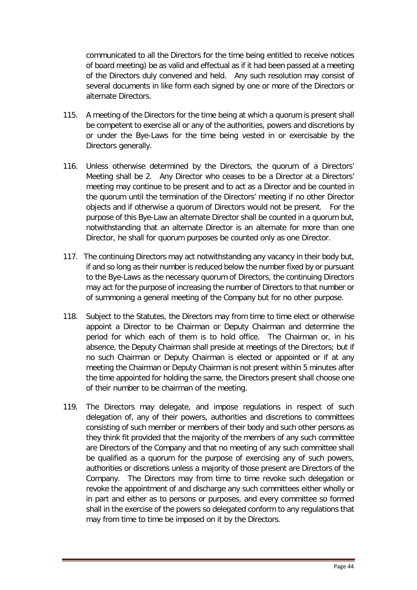communicated to all the Directors for the time being entitled to receive notices of board meeting) be as valid and effectual as if it had been passed at a meeting of the Directors duly convened and held. Any such resolution may consist of several documents in like form each signed by one or more of the Directors or alternate Directors.

- 115. A meeting of the Directors for the time being at which a quorum is present shall be competent to exercise all or any of the authorities, powers and discretions by or under the Bye-Laws for the time being vested in or exercisable by the Directors generally.
- 116. Unless otherwise determined by the Directors, the quorum of a Directors' Meeting shall be 2. Any Director who ceases to be a Director at a Directors' meeting may continue to be present and to act as a Director and be counted in the quorum until the termination of the Directors' meeting if no other Director objects and if otherwise a quorum of Directors would not be present. For the purpose of this Bye-Law an alternate Director shall be counted in a quorum but, notwithstanding that an alternate Director is an alternate for more than one Director, he shall for quorum purposes be counted only as one Director.
- 117. The continuing Directors may act notwithstanding any vacancy in their body but, if and so long as their number is reduced below the number fixed by or pursuant to the Bye-Laws as the necessary quorum of Directors, the continuing Directors may act for the purpose of increasing the number of Directors to that number or of summoning a general meeting of the Company but for no other purpose.
- 118. Subject to the Statutes, the Directors may from time to time elect or otherwise appoint a Director to be Chairman or Deputy Chairman and determine the period for which each of them is to hold office. The Chairman or, in his absence, the Deputy Chairman shall preside at meetings of the Directors; but if no such Chairman or Deputy Chairman is elected or appointed or if at any meeting the Chairman or Deputy Chairman is not present within 5 minutes after the time appointed for holding the same, the Directors present shall choose one of their number to be chairman of the meeting.
- 119. The Directors may delegate, and impose regulations in respect of such delegation of, any of their powers, authorities and discretions to committees consisting of such member or members of their body and such other persons as they think fit provided that the majority of the members of any such committee are Directors of the Company and that no meeting of any such committee shall be qualified as a quorum for the purpose of exercising any of such powers, authorities or discretions unless a majority of those present are Directors of the Company. The Directors may from time to time revoke such delegation or revoke the appointment of and discharge any such committees either wholly or in part and either as to persons or purposes, and every committee so formed shall in the exercise of the powers so delegated conform to any regulations that may from time to time be imposed on it by the Directors.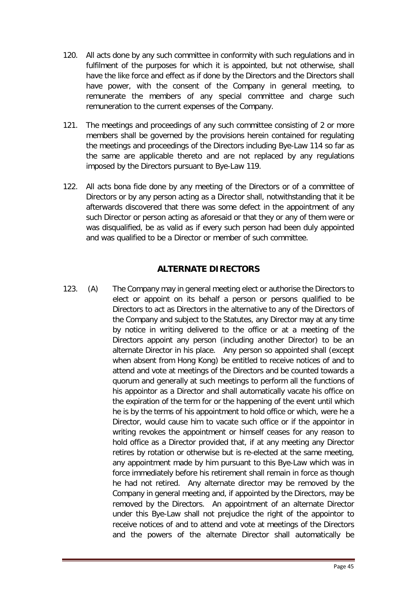- 120. All acts done by any such committee in conformity with such regulations and in fulfilment of the purposes for which it is appointed, but not otherwise, shall have the like force and effect as if done by the Directors and the Directors shall have power, with the consent of the Company in general meeting, to remunerate the members of any special committee and charge such remuneration to the current expenses of the Company.
- 121. The meetings and proceedings of any such committee consisting of 2 or more members shall be governed by the provisions herein contained for regulating the meetings and proceedings of the Directors including Bye-Law 114 so far as the same are applicable thereto and are not replaced by any regulations imposed by the Directors pursuant to Bye-Law 119.
- 122. All acts bona fide done by any meeting of the Directors or of a committee of Directors or by any person acting as a Director shall, notwithstanding that it be afterwards discovered that there was some defect in the appointment of any such Director or person acting as aforesaid or that they or any of them were or was disqualified, be as valid as if every such person had been duly appointed and was qualified to be a Director or member of such committee.

## **ALTERNATE DIRECTORS**

<span id="page-45-0"></span>123. (A) The Company may in general meeting elect or authorise the Directors to elect or appoint on its behalf a person or persons qualified to be Directors to act as Directors in the alternative to any of the Directors of the Company and subject to the Statutes, any Director may at any time by notice in writing delivered to the office or at a meeting of the Directors appoint any person (including another Director) to be an alternate Director in his place. Any person so appointed shall (except when absent from Hong Kong) be entitled to receive notices of and to attend and vote at meetings of the Directors and be counted towards a quorum and generally at such meetings to perform all the functions of his appointor as a Director and shall automatically vacate his office on the expiration of the term for or the happening of the event until which he is by the terms of his appointment to hold office or which, were he a Director, would cause him to vacate such office or if the appointor in writing revokes the appointment or himself ceases for any reason to hold office as a Director provided that, if at any meeting any Director retires by rotation or otherwise but is re-elected at the same meeting, any appointment made by him pursuant to this Bye-Law which was in force immediately before his retirement shall remain in force as though he had not retired. Any alternate director may be removed by the Company in general meeting and, if appointed by the Directors, may be removed by the Directors. An appointment of an alternate Director under this Bye-Law shall not prejudice the right of the appointor to receive notices of and to attend and vote at meetings of the Directors and the powers of the alternate Director shall automatically be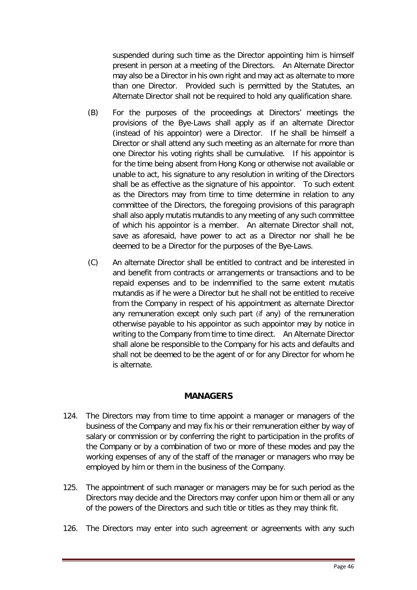suspended during such time as the Director appointing him is himself present in person at a meeting of the Directors. An Alternate Director may also be a Director in his own right and may act as alternate to more than one Director. Provided such is permitted by the Statutes, an Alternate Director shall not be required to hold any qualification share.

- (B) For the purposes of the proceedings at Directors' meetings the provisions of the Bye-Laws shall apply as if an alternate Director (instead of his appointor) were a Director. If he shall be himself a Director or shall attend any such meeting as an alternate for more than one Director his voting rights shall be cumulative. If his appointor is for the time being absent from Hong Kong or otherwise not available or unable to act, his signature to any resolution in writing of the Directors shall be as effective as the signature of his appointor. To such extent as the Directors may from time to time determine in relation to any committee of the Directors, the foregoing provisions of this paragraph shall also apply mutatis mutandis to any meeting of any such committee of which his appointor is a member. An alternate Director shall not, save as aforesaid, have power to act as a Director nor shall he be deemed to be a Director for the purposes of the Bye-Laws.
- (C) An alternate Director shall be entitled to contract and be interested in and benefit from contracts or arrangements or transactions and to be repaid expenses and to be indemnified to the same extent mutatis mutandis as if he were a Director but he shall not be entitled to receive from the Company in respect of his appointment as alternate Director any remuneration except only such part (if any) of the remuneration otherwise payable to his appointor as such appointor may by notice in writing to the Company from time to time direct. An Alternate Director shall alone be responsible to the Company for his acts and defaults and shall not be deemed to be the agent of or for any Director for whom he is alternate.

## **MANAGERS**

- <span id="page-46-0"></span>124. The Directors may from time to time appoint a manager or managers of the business of the Company and may fix his or their remuneration either by way of salary or commission or by conferring the right to participation in the profits of the Company or by a combination of two or more of these modes and pay the working expenses of any of the staff of the manager or managers who may be employed by him or them in the business of the Company.
- 125. The appointment of such manager or managers may be for such period as the Directors may decide and the Directors may confer upon him or them all or any of the powers of the Directors and such title or titles as they may think fit.
- 126. The Directors may enter into such agreement or agreements with any such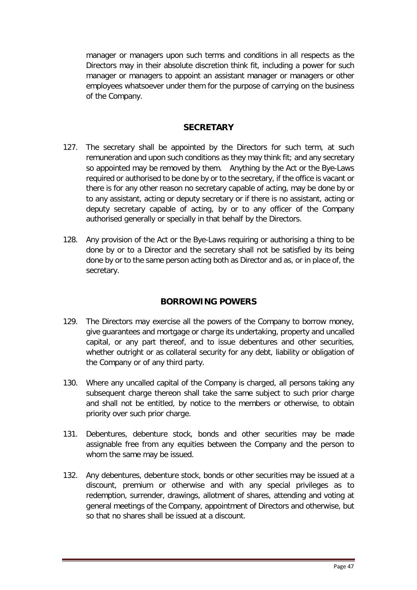manager or managers upon such terms and conditions in all respects as the Directors may in their absolute discretion think fit, including a power for such manager or managers to appoint an assistant manager or managers or other employees whatsoever under them for the purpose of carrying on the business of the Company.

## **SECRETARY**

- <span id="page-47-0"></span>127. The secretary shall be appointed by the Directors for such term, at such remuneration and upon such conditions as they may think fit; and any secretary so appointed may be removed by them. Anything by the Act or the Bye-Laws required or authorised to be done by or to the secretary, if the office is vacant or there is for any other reason no secretary capable of acting, may be done by or to any assistant, acting or deputy secretary or if there is no assistant, acting or deputy secretary capable of acting, by or to any officer of the Company authorised generally or specially in that behalf by the Directors.
- 128. Any provision of the Act or the Bye-Laws requiring or authorising a thing to be done by or to a Director and the secretary shall not be satisfied by its being done by or to the same person acting both as Director and as, or in place of, the secretary.

## **BORROWING POWERS**

- <span id="page-47-1"></span>129. The Directors may exercise all the powers of the Company to borrow money, give guarantees and mortgage or charge its undertaking, property and uncalled capital, or any part thereof, and to issue debentures and other securities, whether outright or as collateral security for any debt, liability or obligation of the Company or of any third party.
- 130. Where any uncalled capital of the Company is charged, all persons taking any subsequent charge thereon shall take the same subject to such prior charge and shall not be entitled, by notice to the members or otherwise, to obtain priority over such prior charge.
- 131. Debentures, debenture stock, bonds and other securities may be made assignable free from any equities between the Company and the person to whom the same may be issued.
- 132. Any debentures, debenture stock, bonds or other securities may be issued at a discount, premium or otherwise and with any special privileges as to redemption, surrender, drawings, allotment of shares, attending and voting at general meetings of the Company, appointment of Directors and otherwise, but so that no shares shall be issued at a discount.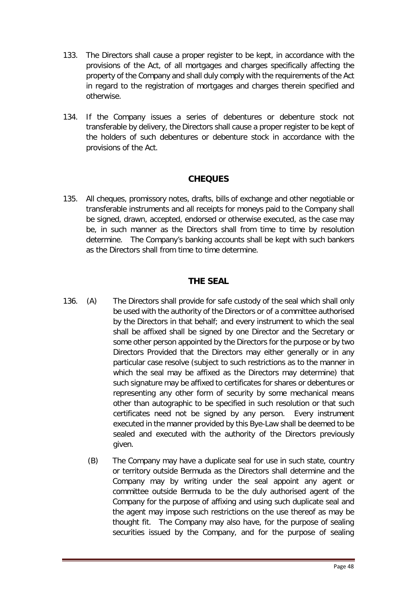- 133. The Directors shall cause a proper register to be kept, in accordance with the provisions of the Act, of all mortgages and charges specifically affecting the property of the Company and shall duly comply with the requirements of the Act in regard to the registration of mortgages and charges therein specified and otherwise.
- 134. If the Company issues a series of debentures or debenture stock not transferable by delivery, the Directors shall cause a proper register to be kept of the holders of such debentures or debenture stock in accordance with the provisions of the Act.

## **CHEQUES**

<span id="page-48-0"></span>135. All cheques, promissory notes, drafts, bills of exchange and other negotiable or transferable instruments and all receipts for moneys paid to the Company shall be signed, drawn, accepted, endorsed or otherwise executed, as the case may be, in such manner as the Directors shall from time to time by resolution determine. The Company's banking accounts shall be kept with such bankers as the Directors shall from time to time determine.

# **THE SEAL**

- <span id="page-48-1"></span>136. (A) The Directors shall provide for safe custody of the seal which shall only be used with the authority of the Directors or of a committee authorised by the Directors in that behalf; and every instrument to which the seal shall be affixed shall be signed by one Director and the Secretary or some other person appointed by the Directors for the purpose or by two Directors Provided that the Directors may either generally or in any particular case resolve (subject to such restrictions as to the manner in which the seal may be affixed as the Directors may determine) that such signature may be affixed to certificates for shares or debentures or representing any other form of security by some mechanical means other than autographic to be specified in such resolution or that such certificates need not be signed by any person. Every instrument executed in the manner provided by this Bye-Law shall be deemed to be sealed and executed with the authority of the Directors previously given.
	- (B) The Company may have a duplicate seal for use in such state, country or territory outside Bermuda as the Directors shall determine and the Company may by writing under the seal appoint any agent or committee outside Bermuda to be the duly authorised agent of the Company for the purpose of affixing and using such duplicate seal and the agent may impose such restrictions on the use thereof as may be thought fit. The Company may also have, for the purpose of sealing securities issued by the Company, and for the purpose of sealing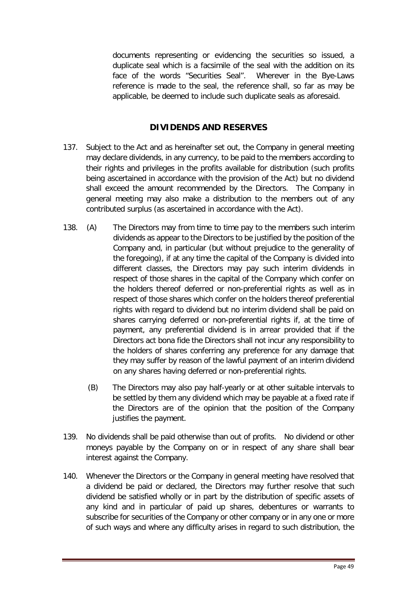documents representing or evidencing the securities so issued, a duplicate seal which is a facsimile of the seal with the addition on its face of the words "Securities Seal". Wherever in the Bye-Laws reference is made to the seal, the reference shall, so far as may be applicable, be deemed to include such duplicate seals as aforesaid.

## **DIVIDENDS AND RESERVES**

- <span id="page-49-0"></span>137. Subject to the Act and as hereinafter set out, the Company in general meeting may declare dividends, in any currency, to be paid to the members according to their rights and privileges in the profits available for distribution (such profits being ascertained in accordance with the provision of the Act) but no dividend shall exceed the amount recommended by the Directors. The Company in general meeting may also make a distribution to the members out of any contributed surplus (as ascertained in accordance with the Act).
- 138. (A) The Directors may from time to time pay to the members such interim dividends as appear to the Directors to be justified by the position of the Company and, in particular (but without prejudice to the generality of the foregoing), if at any time the capital of the Company is divided into different classes, the Directors may pay such interim dividends in respect of those shares in the capital of the Company which confer on the holders thereof deferred or non-preferential rights as well as in respect of those shares which confer on the holders thereof preferential rights with regard to dividend but no interim dividend shall be paid on shares carrying deferred or non-preferential rights if, at the time of payment, any preferential dividend is in arrear provided that if the Directors act bona fide the Directors shall not incur any responsibility to the holders of shares conferring any preference for any damage that they may suffer by reason of the lawful payment of an interim dividend on any shares having deferred or non-preferential rights.
	- (B) The Directors may also pay half-yearly or at other suitable intervals to be settled by them any dividend which may be payable at a fixed rate if the Directors are of the opinion that the position of the Company justifies the payment.
- 139. No dividends shall be paid otherwise than out of profits. No dividend or other moneys payable by the Company on or in respect of any share shall bear interest against the Company.
- 140. Whenever the Directors or the Company in general meeting have resolved that a dividend be paid or declared, the Directors may further resolve that such dividend be satisfied wholly or in part by the distribution of specific assets of any kind and in particular of paid up shares, debentures or warrants to subscribe for securities of the Company or other company or in any one or more of such ways and where any difficulty arises in regard to such distribution, the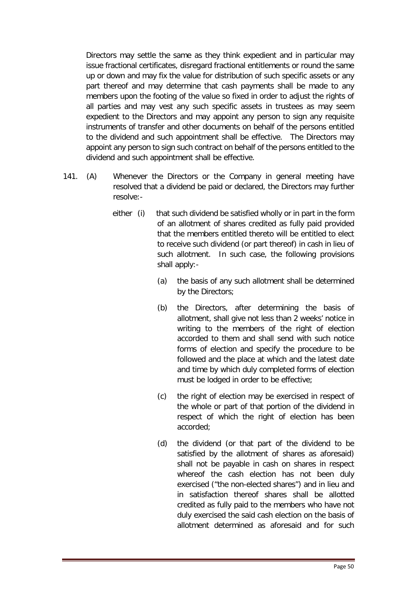Directors may settle the same as they think expedient and in particular may issue fractional certificates, disregard fractional entitlements or round the same up or down and may fix the value for distribution of such specific assets or any part thereof and may determine that cash payments shall be made to any members upon the footing of the value so fixed in order to adjust the rights of all parties and may vest any such specific assets in trustees as may seem expedient to the Directors and may appoint any person to sign any requisite instruments of transfer and other documents on behalf of the persons entitled to the dividend and such appointment shall be effective. The Directors may appoint any person to sign such contract on behalf of the persons entitled to the dividend and such appointment shall be effective.

- 141. (A) Whenever the Directors or the Company in general meeting have resolved that a dividend be paid or declared, the Directors may further resolve:
	- either (i) that such dividend be satisfied wholly or in part in the form of an allotment of shares credited as fully paid provided that the members entitled thereto will be entitled to elect to receive such dividend (or part thereof) in cash in lieu of such allotment. In such case, the following provisions shall apply:-
		- (a) the basis of any such allotment shall be determined by the Directors;
		- (b) the Directors, after determining the basis of allotment, shall give not less than 2 weeks' notice in writing to the members of the right of election accorded to them and shall send with such notice forms of election and specify the procedure to be followed and the place at which and the latest date and time by which duly completed forms of election must be lodged in order to be effective;
		- (c) the right of election may be exercised in respect of the whole or part of that portion of the dividend in respect of which the right of election has been accorded;
		- (d) the dividend (or that part of the dividend to be satisfied by the allotment of shares as aforesaid) shall not be payable in cash on shares in respect whereof the cash election has not been duly exercised ("the non-elected shares") and in lieu and in satisfaction thereof shares shall be allotted credited as fully paid to the members who have not duly exercised the said cash election on the basis of allotment determined as aforesaid and for such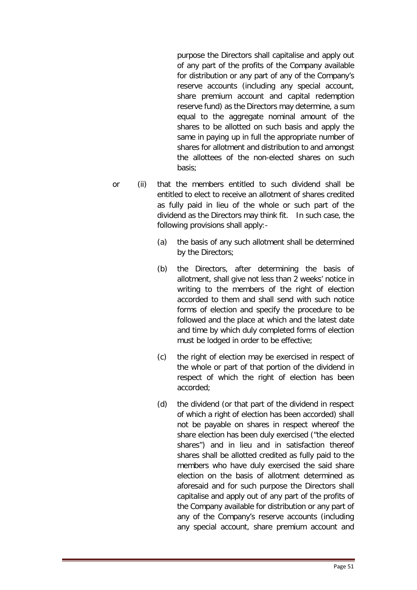purpose the Directors shall capitalise and apply out of any part of the profits of the Company available for distribution or any part of any of the Company's reserve accounts (including any special account, share premium account and capital redemption reserve fund) as the Directors may determine, a sum equal to the aggregate nominal amount of the shares to be allotted on such basis and apply the same in paying up in full the appropriate number of shares for allotment and distribution to and amongst the allottees of the non-elected shares on such basis;

- or (ii) that the members entitled to such dividend shall be entitled to elect to receive an allotment of shares credited as fully paid in lieu of the whole or such part of the dividend as the Directors may think fit. In such case, the following provisions shall apply:-
	- (a) the basis of any such allotment shall be determined by the Directors;
	- (b) the Directors, after determining the basis of allotment, shall give not less than 2 weeks' notice in writing to the members of the right of election accorded to them and shall send with such notice forms of election and specify the procedure to be followed and the place at which and the latest date and time by which duly completed forms of election must be lodged in order to be effective;
	- (c) the right of election may be exercised in respect of the whole or part of that portion of the dividend in respect of which the right of election has been accorded;
	- (d) the dividend (or that part of the dividend in respect of which a right of election has been accorded) shall not be payable on shares in respect whereof the share election has been duly exercised ("the elected shares") and in lieu and in satisfaction thereof shares shall be allotted credited as fully paid to the members who have duly exercised the said share election on the basis of allotment determined as aforesaid and for such purpose the Directors shall capitalise and apply out of any part of the profits of the Company available for distribution or any part of any of the Company's reserve accounts (including any special account, share premium account and

Page 51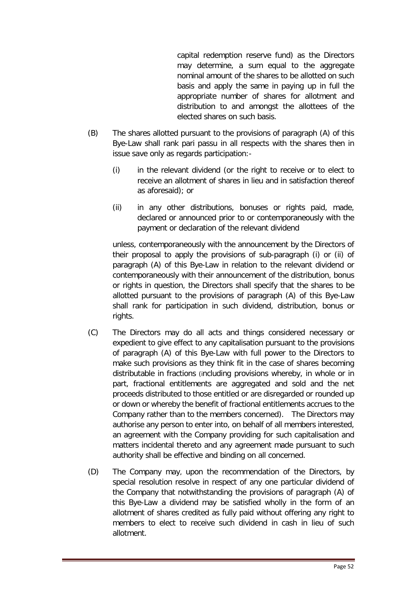capital redemption reserve fund) as the Directors may determine, a sum equal to the aggregate nominal amount of the shares to be allotted on such basis and apply the same in paying up in full the appropriate number of shares for allotment and distribution to and amongst the allottees of the elected shares on such basis.

- (B) The shares allotted pursuant to the provisions of paragraph (A) of this Bye-Law shall rank pari passu in all respects with the shares then in issue save only as regards participation:-
	- (i) in the relevant dividend (or the right to receive or to elect to receive an allotment of shares in lieu and in satisfaction thereof as aforesaid); or
	- (ii) in any other distributions, bonuses or rights paid, made, declared or announced prior to or contemporaneously with the payment or declaration of the relevant dividend

unless, contemporaneously with the announcement by the Directors of their proposal to apply the provisions of sub-paragraph (i) or (ii) of paragraph (A) of this Bye-Law in relation to the relevant dividend or contemporaneously with their announcement of the distribution, bonus or rights in question, the Directors shall specify that the shares to be allotted pursuant to the provisions of paragraph (A) of this Bye-Law shall rank for participation in such dividend, distribution, bonus or rights.

- (C) The Directors may do all acts and things considered necessary or expedient to give effect to any capitalisation pursuant to the provisions of paragraph (A) of this Bye-Law with full power to the Directors to make such provisions as they think fit in the case of shares becoming distributable in fractions (including provisions whereby, in whole or in part, fractional entitlements are aggregated and sold and the net proceeds distributed to those entitled or are disregarded or rounded up or down or whereby the benefit of fractional entitlements accrues to the Company rather than to the members concerned). The Directors may authorise any person to enter into, on behalf of all members interested, an agreement with the Company providing for such capitalisation and matters incidental thereto and any agreement made pursuant to such authority shall be effective and binding on all concerned.
- (D) The Company may, upon the recommendation of the Directors, by special resolution resolve in respect of any one particular dividend of the Company that notwithstanding the provisions of paragraph (A) of this Bye-Law a dividend may be satisfied wholly in the form of an allotment of shares credited as fully paid without offering any right to members to elect to receive such dividend in cash in lieu of such allotment.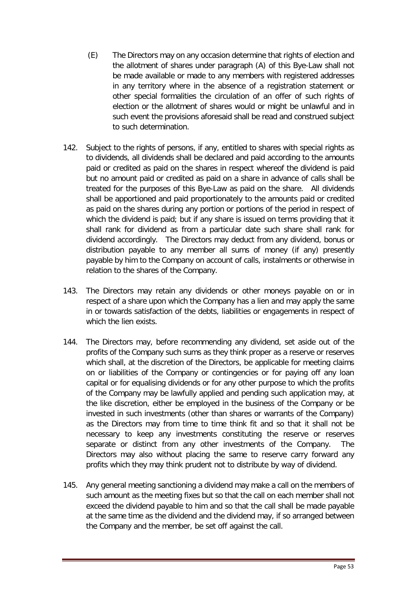- (E) The Directors may on any occasion determine that rights of election and the allotment of shares under paragraph (A) of this Bye-Law shall not be made available or made to any members with registered addresses in any territory where in the absence of a registration statement or other special formalities the circulation of an offer of such rights of election or the allotment of shares would or might be unlawful and in such event the provisions aforesaid shall be read and construed subject to such determination.
- 142. Subject to the rights of persons, if any, entitled to shares with special rights as to dividends, all dividends shall be declared and paid according to the amounts paid or credited as paid on the shares in respect whereof the dividend is paid but no amount paid or credited as paid on a share in advance of calls shall be treated for the purposes of this Bye-Law as paid on the share. All dividends shall be apportioned and paid proportionately to the amounts paid or credited as paid on the shares during any portion or portions of the period in respect of which the dividend is paid; but if any share is issued on terms providing that it shall rank for dividend as from a particular date such share shall rank for dividend accordingly. The Directors may deduct from any dividend, bonus or distribution payable to any member all sums of money (if any) presently payable by him to the Company on account of calls, instalments or otherwise in relation to the shares of the Company.
- 143. The Directors may retain any dividends or other moneys payable on or in respect of a share upon which the Company has a lien and may apply the same in or towards satisfaction of the debts, liabilities or engagements in respect of which the lien exists.
- 144. The Directors may, before recommending any dividend, set aside out of the profits of the Company such sums as they think proper as a reserve or reserves which shall, at the discretion of the Directors, be applicable for meeting claims on or liabilities of the Company or contingencies or for paying off any loan capital or for equalising dividends or for any other purpose to which the profits of the Company may be lawfully applied and pending such application may, at the like discretion, either be employed in the business of the Company or be invested in such investments (other than shares or warrants of the Company) as the Directors may from time to time think fit and so that it shall not be necessary to keep any investments constituting the reserve or reserves separate or distinct from any other investments of the Company. The Directors may also without placing the same to reserve carry forward any profits which they may think prudent not to distribute by way of dividend.
- 145. Any general meeting sanctioning a dividend may make a call on the members of such amount as the meeting fixes but so that the call on each member shall not exceed the dividend payable to him and so that the call shall be made payable at the same time as the dividend and the dividend may, if so arranged between the Company and the member, be set off against the call.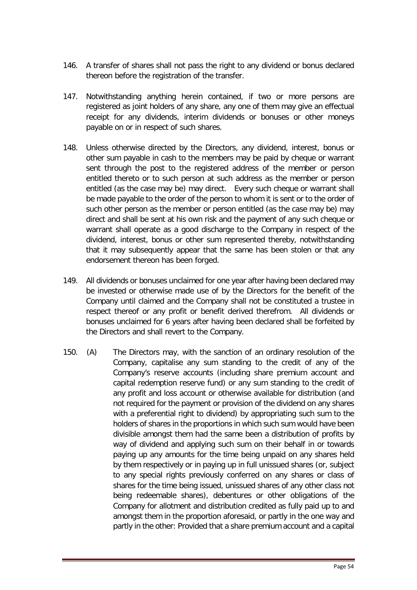- 146. A transfer of shares shall not pass the right to any dividend or bonus declared thereon before the registration of the transfer.
- 147. Notwithstanding anything herein contained, if two or more persons are registered as joint holders of any share, any one of them may give an effectual receipt for any dividends, interim dividends or bonuses or other moneys payable on or in respect of such shares.
- 148. Unless otherwise directed by the Directors, any dividend, interest, bonus or other sum payable in cash to the members may be paid by cheque or warrant sent through the post to the registered address of the member or person entitled thereto or to such person at such address as the member or person entitled (as the case may be) may direct. Every such cheque or warrant shall be made payable to the order of the person to whom it is sent or to the order of such other person as the member or person entitled (as the case may be) may direct and shall be sent at his own risk and the payment of any such cheque or warrant shall operate as a good discharge to the Company in respect of the dividend, interest, bonus or other sum represented thereby, notwithstanding that it may subsequently appear that the same has been stolen or that any endorsement thereon has been forged.
- 149. All dividends or bonuses unclaimed for one year after having been declared may be invested or otherwise made use of by the Directors for the benefit of the Company until claimed and the Company shall not be constituted a trustee in respect thereof or any profit or benefit derived therefrom. All dividends or bonuses unclaimed for 6 years after having been declared shall be forfeited by the Directors and shall revert to the Company.
- 150. (A) The Directors may, with the sanction of an ordinary resolution of the Company, capitalise any sum standing to the credit of any of the Company's reserve accounts (including share premium account and capital redemption reserve fund) or any sum standing to the credit of any profit and loss account or otherwise available for distribution (and not required for the payment or provision of the dividend on any shares with a preferential right to dividend) by appropriating such sum to the holders of shares in the proportions in which such sum would have been divisible amongst them had the same been a distribution of profits by way of dividend and applying such sum on their behalf in or towards paying up any amounts for the time being unpaid on any shares held by them respectively or in paying up in full unissued shares (or, subject to any special rights previously conferred on any shares or class of shares for the time being issued, unissued shares of any other class not being redeemable shares), debentures or other obligations of the Company for allotment and distribution credited as fully paid up to and amongst them in the proportion aforesaid, or partly in the one way and partly in the other: Provided that a share premium account and a capital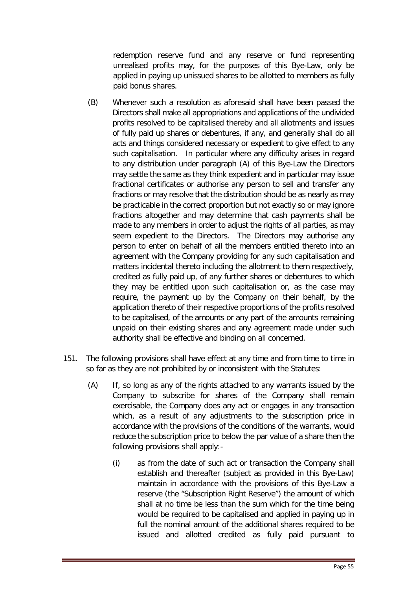redemption reserve fund and any reserve or fund representing unrealised profits may, for the purposes of this Bye-Law, only be applied in paying up unissued shares to be allotted to members as fully paid bonus shares.

- (B) Whenever such a resolution as aforesaid shall have been passed the Directors shall make all appropriations and applications of the undivided profits resolved to be capitalised thereby and all allotments and issues of fully paid up shares or debentures, if any, and generally shall do all acts and things considered necessary or expedient to give effect to any such capitalisation. In particular where any difficulty arises in regard to any distribution under paragraph (A) of this Bye-Law the Directors may settle the same as they think expedient and in particular may issue fractional certificates or authorise any person to sell and transfer any fractions or may resolve that the distribution should be as nearly as may be practicable in the correct proportion but not exactly so or may ignore fractions altogether and may determine that cash payments shall be made to any members in order to adjust the rights of all parties, as may seem expedient to the Directors. The Directors may authorise any person to enter on behalf of all the members entitled thereto into an agreement with the Company providing for any such capitalisation and matters incidental thereto including the allotment to them respectively, credited as fully paid up, of any further shares or debentures to which they may be entitled upon such capitalisation or, as the case may require, the payment up by the Company on their behalf, by the application thereto of their respective proportions of the profits resolved to be capitalised, of the amounts or any part of the amounts remaining unpaid on their existing shares and any agreement made under such authority shall be effective and binding on all concerned.
- 151. The following provisions shall have effect at any time and from time to time in so far as they are not prohibited by or inconsistent with the Statutes:
	- (A) If, so long as any of the rights attached to any warrants issued by the Company to subscribe for shares of the Company shall remain exercisable, the Company does any act or engages in any transaction which, as a result of any adjustments to the subscription price in accordance with the provisions of the conditions of the warrants, would reduce the subscription price to below the par value of a share then the following provisions shall apply:-
		- (i) as from the date of such act or transaction the Company shall establish and thereafter (subject as provided in this Bye-Law) maintain in accordance with the provisions of this Bye-Law a reserve (the "Subscription Right Reserve") the amount of which shall at no time be less than the sum which for the time being would be required to be capitalised and applied in paying up in full the nominal amount of the additional shares required to be issued and allotted credited as fully paid pursuant to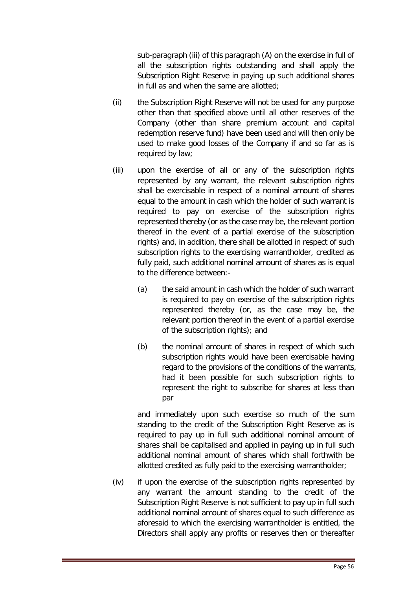sub-paragraph (iii) of this paragraph (A) on the exercise in full of all the subscription rights outstanding and shall apply the Subscription Right Reserve in paying up such additional shares in full as and when the same are allotted;

- (ii) the Subscription Right Reserve will not be used for any purpose other than that specified above until all other reserves of the Company (other than share premium account and capital redemption reserve fund) have been used and will then only be used to make good losses of the Company if and so far as is required by law;
- (iii) upon the exercise of all or any of the subscription rights represented by any warrant, the relevant subscription rights shall be exercisable in respect of a nominal amount of shares equal to the amount in cash which the holder of such warrant is required to pay on exercise of the subscription rights represented thereby (or as the case may be, the relevant portion thereof in the event of a partial exercise of the subscription rights) and, in addition, there shall be allotted in respect of such subscription rights to the exercising warrantholder, credited as fully paid, such additional nominal amount of shares as is equal to the difference between:-
	- (a) the said amount in cash which the holder of such warrant is required to pay on exercise of the subscription rights represented thereby (or, as the case may be, the relevant portion thereof in the event of a partial exercise of the subscription rights); and
	- (b) the nominal amount of shares in respect of which such subscription rights would have been exercisable having regard to the provisions of the conditions of the warrants, had it been possible for such subscription rights to represent the right to subscribe for shares at less than par

and immediately upon such exercise so much of the sum standing to the credit of the Subscription Right Reserve as is required to pay up in full such additional nominal amount of shares shall be capitalised and applied in paying up in full such additional nominal amount of shares which shall forthwith be allotted credited as fully paid to the exercising warrantholder;

(iv) if upon the exercise of the subscription rights represented by any warrant the amount standing to the credit of the Subscription Right Reserve is not sufficient to pay up in full such additional nominal amount of shares equal to such difference as aforesaid to which the exercising warrantholder is entitled, the Directors shall apply any profits or reserves then or thereafter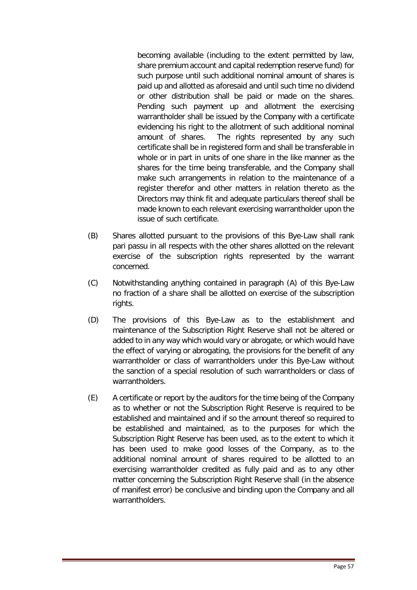becoming available (including to the extent permitted by law, share premium account and capital redemption reserve fund) for such purpose until such additional nominal amount of shares is paid up and allotted as aforesaid and until such time no dividend or other distribution shall be paid or made on the shares. Pending such payment up and allotment the exercising warrantholder shall be issued by the Company with a certificate evidencing his right to the allotment of such additional nominal amount of shares. The rights represented by any such certificate shall be in registered form and shall be transferable in whole or in part in units of one share in the like manner as the shares for the time being transferable, and the Company shall make such arrangements in relation to the maintenance of a register therefor and other matters in relation thereto as the Directors may think fit and adequate particulars thereof shall be made known to each relevant exercising warrantholder upon the issue of such certificate.

- (B) Shares allotted pursuant to the provisions of this Bye-Law shall rank pari passu in all respects with the other shares allotted on the relevant exercise of the subscription rights represented by the warrant concerned.
- (C) Notwithstanding anything contained in paragraph (A) of this Bye-Law no fraction of a share shall be allotted on exercise of the subscription rights.
- (D) The provisions of this Bye-Law as to the establishment and maintenance of the Subscription Right Reserve shall not be altered or added to in any way which would vary or abrogate, or which would have the effect of varying or abrogating, the provisions for the benefit of any warrantholder or class of warrantholders under this Bye-Law without the sanction of a special resolution of such warrantholders or class of warrantholders.
- (E) A certificate or report by the auditors for the time being of the Company as to whether or not the Subscription Right Reserve is required to be established and maintained and if so the amount thereof so required to be established and maintained, as to the purposes for which the Subscription Right Reserve has been used, as to the extent to which it has been used to make good losses of the Company, as to the additional nominal amount of shares required to be allotted to an exercising warrantholder credited as fully paid and as to any other matter concerning the Subscription Right Reserve shall (in the absence of manifest error) be conclusive and binding upon the Company and all warrantholders.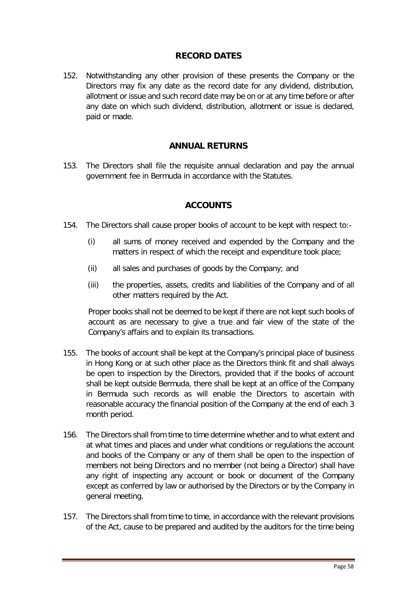## **RECORD DATES**

<span id="page-58-0"></span>152. Notwithstanding any other provision of these presents the Company or the Directors may fix any date as the record date for any dividend, distribution, allotment or issue and such record date may be on or at any time before or after any date on which such dividend, distribution, allotment or issue is declared, paid or made.

## **ANNUAL RETURNS**

<span id="page-58-2"></span><span id="page-58-1"></span>153. The Directors shall file the requisite annual declaration and pay the annual government fee in Bermuda in accordance with the Statutes.

## **ACCOUNTS**

- 154. The Directors shall cause proper books of account to be kept with respect to:-
	- (i) all sums of money received and expended by the Company and the matters in respect of which the receipt and expenditure took place;
	- (ii) all sales and purchases of goods by the Company; and
	- (iii) the properties, assets, credits and liabilities of the Company and of all other matters required by the Act.

Proper books shall not be deemed to be kept if there are not kept such books of account as are necessary to give a true and fair view of the state of the Company's affairs and to explain its transactions.

- 155. The books of account shall be kept at the Company's principal place of business in Hong Kong or at such other place as the Directors think fit and shall always be open to inspection by the Directors, provided that if the books of account shall be kept outside Bermuda, there shall be kept at an office of the Company in Bermuda such records as will enable the Directors to ascertain with reasonable accuracy the financial position of the Company at the end of each 3 month period.
- 156. The Directors shall from time to time determine whether and to what extent and at what times and places and under what conditions or regulations the account and books of the Company or any of them shall be open to the inspection of members not being Directors and no member (not being a Director) shall have any right of inspecting any account or book or document of the Company except as conferred by law or authorised by the Directors or by the Company in general meeting.
- 157. The Directors shall from time to time, in accordance with the relevant provisions of the Act, cause to be prepared and audited by the auditors for the time being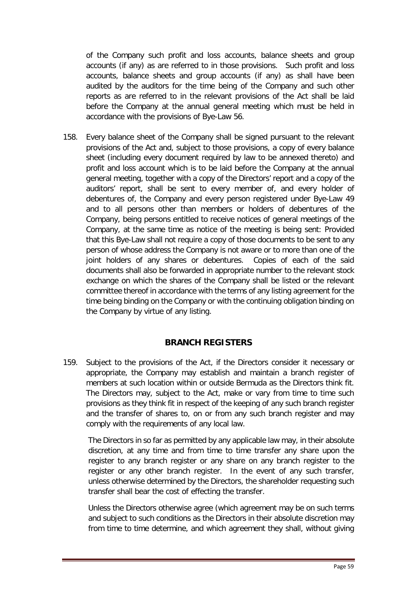of the Company such profit and loss accounts, balance sheets and group accounts (if any) as are referred to in those provisions. Such profit and loss accounts, balance sheets and group accounts (if any) as shall have been audited by the auditors for the time being of the Company and such other reports as are referred to in the relevant provisions of the Act shall be laid before the Company at the annual general meeting which must be held in accordance with the provisions of Bye-Law 56.

158. Every balance sheet of the Company shall be signed pursuant to the relevant provisions of the Act and, subject to those provisions, a copy of every balance sheet (including every document required by law to be annexed thereto) and profit and loss account which is to be laid before the Company at the annual general meeting, together with a copy of the Directors' report and a copy of the auditors' report, shall be sent to every member of, and every holder of debentures of, the Company and every person registered under Bye-Law 49 and to all persons other than members or holders of debentures of the Company, being persons entitled to receive notices of general meetings of the Company, at the same time as notice of the meeting is being sent: Provided that this Bye-Law shall not require a copy of those documents to be sent to any person of whose address the Company is not aware or to more than one of the joint holders of any shares or debentures. Copies of each of the said documents shall also be forwarded in appropriate number to the relevant stock exchange on which the shares of the Company shall be listed or the relevant committee thereof in accordance with the terms of any listing agreement for the time being binding on the Company or with the continuing obligation binding on the Company by virtue of any listing.

#### **BRANCH REGISTERS**

<span id="page-59-0"></span>159. Subject to the provisions of the Act, if the Directors consider it necessary or appropriate, the Company may establish and maintain a branch register of members at such location within or outside Bermuda as the Directors think fit. The Directors may, subject to the Act, make or vary from time to time such provisions as they think fit in respect of the keeping of any such branch register and the transfer of shares to, on or from any such branch register and may comply with the requirements of any local law.

The Directors in so far as permitted by any applicable law may, in their absolute discretion, at any time and from time to time transfer any share upon the register to any branch register or any share on any branch register to the register or any other branch register. In the event of any such transfer, unless otherwise determined by the Directors, the shareholder requesting such transfer shall bear the cost of effecting the transfer.

Unless the Directors otherwise agree (which agreement may be on such terms and subject to such conditions as the Directors in their absolute discretion may from time to time determine, and which agreement they shall, without giving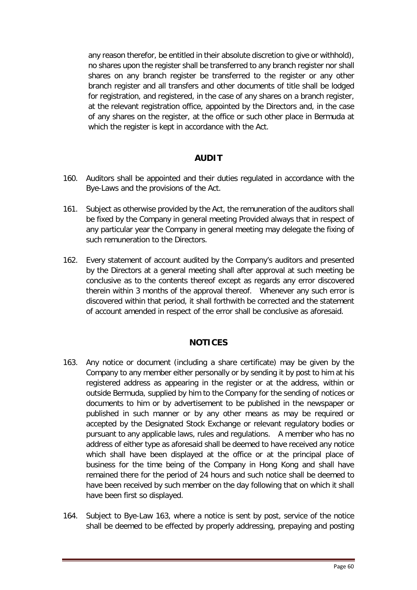any reason therefor, be entitled in their absolute discretion to give or withhold), no shares upon the register shall be transferred to any branch register nor shall shares on any branch register be transferred to the register or any other branch register and all transfers and other documents of title shall be lodged for registration, and registered, in the case of any shares on a branch register, at the relevant registration office, appointed by the Directors and, in the case of any shares on the register, at the office or such other place in Bermuda at which the register is kept in accordance with the Act.

## **AUDIT**

- <span id="page-60-0"></span>160. Auditors shall be appointed and their duties regulated in accordance with the Bye-Laws and the provisions of the Act.
- 161. Subject as otherwise provided by the Act, the remuneration of the auditors shall be fixed by the Company in general meeting Provided always that in respect of any particular year the Company in general meeting may delegate the fixing of such remuneration to the Directors.
- 162. Every statement of account audited by the Company's auditors and presented by the Directors at a general meeting shall after approval at such meeting be conclusive as to the contents thereof except as regards any error discovered therein within 3 months of the approval thereof. Whenever any such error is discovered within that period, it shall forthwith be corrected and the statement of account amended in respect of the error shall be conclusive as aforesaid.

#### **NOTICES**

- <span id="page-60-1"></span>163. Any notice or document (including a share certificate) may be given by the Company to any member either personally or by sending it by post to him at his registered address as appearing in the register or at the address, within or outside Bermuda, supplied by him to the Company for the sending of notices or documents to him or by advertisement to be published in the newspaper or published in such manner or by any other means as may be required or accepted by the Designated Stock Exchange or relevant regulatory bodies or pursuant to any applicable laws, rules and regulations. A member who has no address of either type as aforesaid shall be deemed to have received any notice which shall have been displayed at the office or at the principal place of business for the time being of the Company in Hong Kong and shall have remained there for the period of 24 hours and such notice shall be deemed to have been received by such member on the day following that on which it shall have been first so displayed.
- 164. Subject to Bye-Law 163, where a notice is sent by post, service of the notice shall be deemed to be effected by properly addressing, prepaying and posting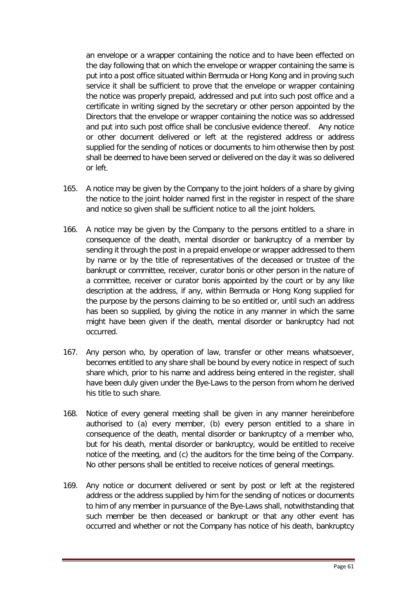an envelope or a wrapper containing the notice and to have been effected on the day following that on which the envelope or wrapper containing the same is put into a post office situated within Bermuda or Hong Kong and in proving such service it shall be sufficient to prove that the envelope or wrapper containing the notice was properly prepaid, addressed and put into such post office and a certificate in writing signed by the secretary or other person appointed by the Directors that the envelope or wrapper containing the notice was so addressed and put into such post office shall be conclusive evidence thereof. Any notice or other document delivered or left at the registered address or address supplied for the sending of notices or documents to him otherwise then by post shall be deemed to have been served or delivered on the day it was so delivered or left.

- 165. A notice may be given by the Company to the joint holders of a share by giving the notice to the joint holder named first in the register in respect of the share and notice so given shall be sufficient notice to all the joint holders.
- 166. A notice may be given by the Company to the persons entitled to a share in consequence of the death, mental disorder or bankruptcy of a member by sending it through the post in a prepaid envelope or wrapper addressed to them by name or by the title of representatives of the deceased or trustee of the bankrupt or committee, receiver, curator bonis or other person in the nature of a committee, receiver or curator bonis appointed by the court or by any like description at the address, if any, within Bermuda or Hong Kong supplied for the purpose by the persons claiming to be so entitled or, until such an address has been so supplied, by giving the notice in any manner in which the same might have been given if the death, mental disorder or bankruptcy had not occurred.
- 167. Any person who, by operation of law, transfer or other means whatsoever, becomes entitled to any share shall be bound by every notice in respect of such share which, prior to his name and address being entered in the register, shall have been duly given under the Bye-Laws to the person from whom he derived his title to such share.
- 168. Notice of every general meeting shall be given in any manner hereinbefore authorised to (a) every member, (b) every person entitled to a share in consequence of the death, mental disorder or bankruptcy of a member who, but for his death, mental disorder or bankruptcy, would be entitled to receive notice of the meeting, and (c) the auditors for the time being of the Company. No other persons shall be entitled to receive notices of general meetings.
- 169. Any notice or document delivered or sent by post or left at the registered address or the address supplied by him for the sending of notices or documents to him of any member in pursuance of the Bye-Laws shall, notwithstanding that such member be then deceased or bankrupt or that any other event has occurred and whether or not the Company has notice of his death, bankruptcy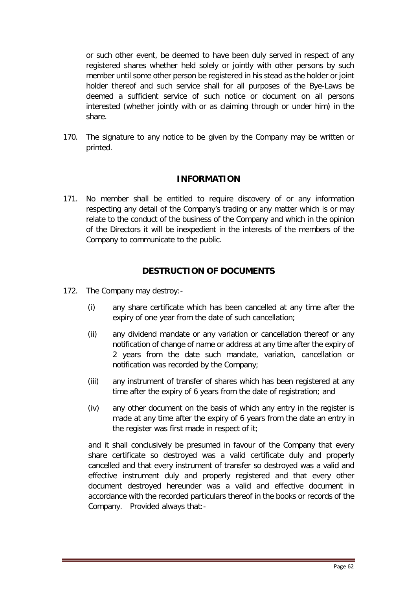or such other event, be deemed to have been duly served in respect of any registered shares whether held solely or jointly with other persons by such member until some other person be registered in his stead as the holder or joint holder thereof and such service shall for all purposes of the Bye-Laws be deemed a sufficient service of such notice or document on all persons interested (whether jointly with or as claiming through or under him) in the share.

170. The signature to any notice to be given by the Company may be written or printed.

## **INFORMATION**

<span id="page-62-0"></span>171. No member shall be entitled to require discovery of or any information respecting any detail of the Company's trading or any matter which is or may relate to the conduct of the business of the Company and which in the opinion of the Directors it will be inexpedient in the interests of the members of the Company to communicate to the public.

## **DESTRUCTION OF DOCUMENTS**

- <span id="page-62-1"></span>172. The Company may destroy:-
	- (i) any share certificate which has been cancelled at any time after the expiry of one year from the date of such cancellation;
	- (ii) any dividend mandate or any variation or cancellation thereof or any notification of change of name or address at any time after the expiry of 2 years from the date such mandate, variation, cancellation or notification was recorded by the Company;
	- (iii) any instrument of transfer of shares which has been registered at any time after the expiry of 6 years from the date of registration; and
	- (iv) any other document on the basis of which any entry in the register is made at any time after the expiry of 6 years from the date an entry in the register was first made in respect of it;

and it shall conclusively be presumed in favour of the Company that every share certificate so destroyed was a valid certificate duly and properly cancelled and that every instrument of transfer so destroyed was a valid and effective instrument duly and properly registered and that every other document destroyed hereunder was a valid and effective document in accordance with the recorded particulars thereof in the books or records of the Company. Provided always that:-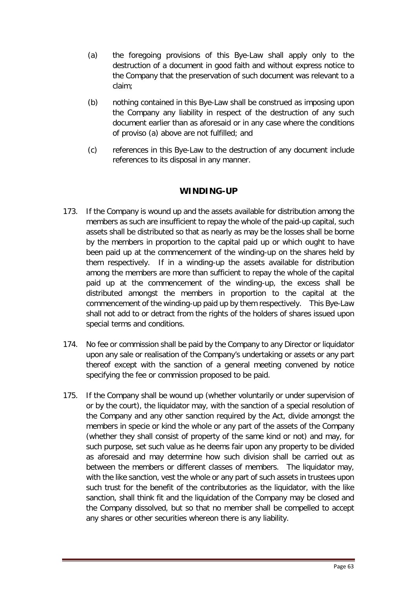- (a) the foregoing provisions of this Bye-Law shall apply only to the destruction of a document in good faith and without express notice to the Company that the preservation of such document was relevant to a claim;
- (b) nothing contained in this Bye-Law shall be construed as imposing upon the Company any liability in respect of the destruction of any such document earlier than as aforesaid or in any case where the conditions of proviso (a) above are not fulfilled; and
- (c) references in this Bye-Law to the destruction of any document include references to its disposal in any manner.

## **WINDING-UP**

- <span id="page-63-0"></span>173. If the Company is wound up and the assets available for distribution among the members as such are insufficient to repay the whole of the paid-up capital, such assets shall be distributed so that as nearly as may be the losses shall be borne by the members in proportion to the capital paid up or which ought to have been paid up at the commencement of the winding-up on the shares held by them respectively. If in a winding-up the assets available for distribution among the members are more than sufficient to repay the whole of the capital paid up at the commencement of the winding-up, the excess shall be distributed amongst the members in proportion to the capital at the commencement of the winding-up paid up by them respectively. This Bye-Law shall not add to or detract from the rights of the holders of shares issued upon special terms and conditions.
- 174. No fee or commission shall be paid by the Company to any Director or liquidator upon any sale or realisation of the Company's undertaking or assets or any part thereof except with the sanction of a general meeting convened by notice specifying the fee or commission proposed to be paid.
- 175. If the Company shall be wound up (whether voluntarily or under supervision of or by the court), the liquidator may, with the sanction of a special resolution of the Company and any other sanction required by the Act, divide amongst the members in specie or kind the whole or any part of the assets of the Company (whether they shall consist of property of the same kind or not) and may, for such purpose, set such value as he deems fair upon any property to be divided as aforesaid and may determine how such division shall be carried out as between the members or different classes of members. The liquidator may, with the like sanction, vest the whole or any part of such assets in trustees upon such trust for the benefit of the contributories as the liquidator, with the like sanction, shall think fit and the liquidation of the Company may be closed and the Company dissolved, but so that no member shall be compelled to accept any shares or other securities whereon there is any liability.